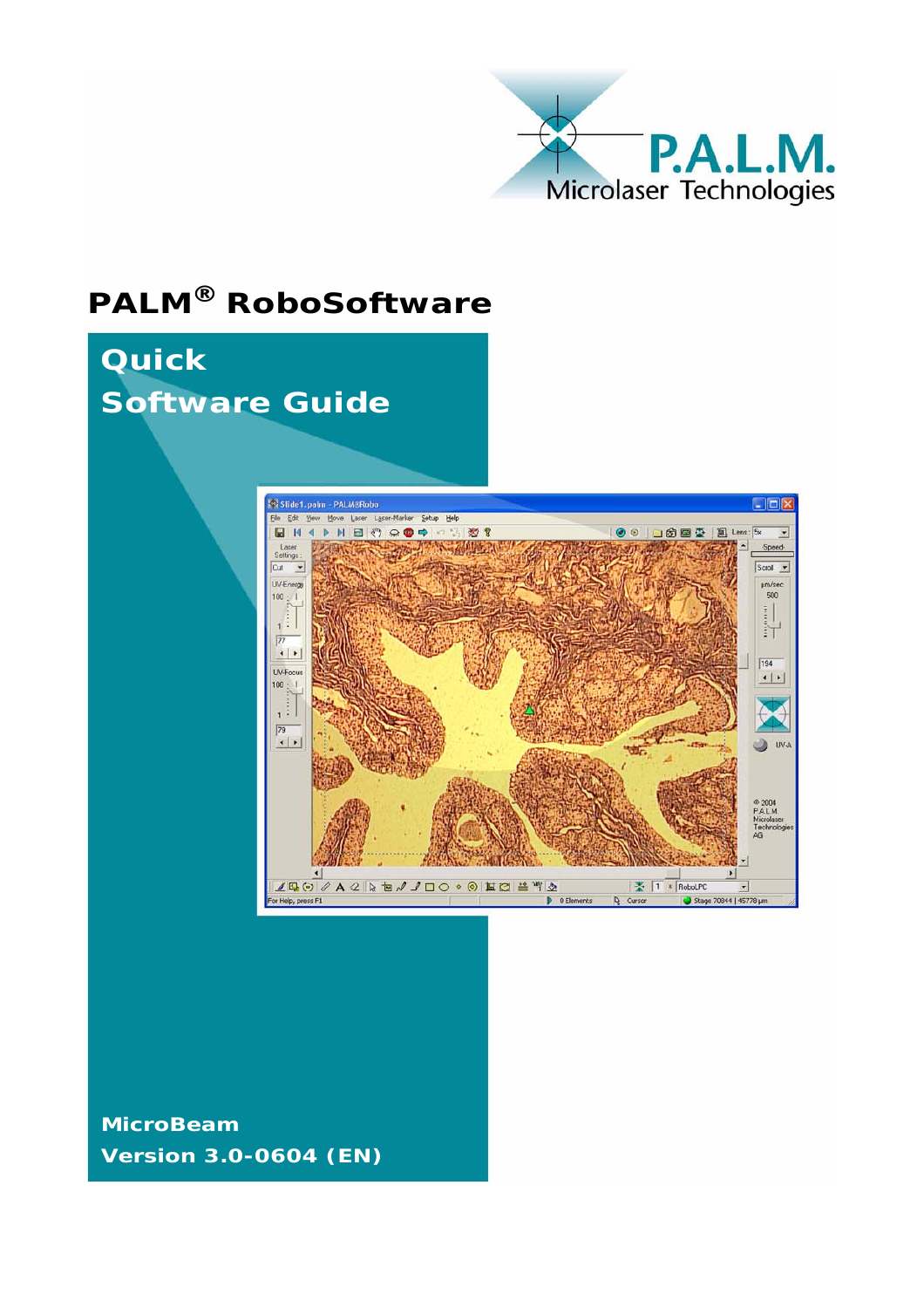

# **PALM® RoboSoftware**



**MicroBeam Version 3.0-0604 (EN)**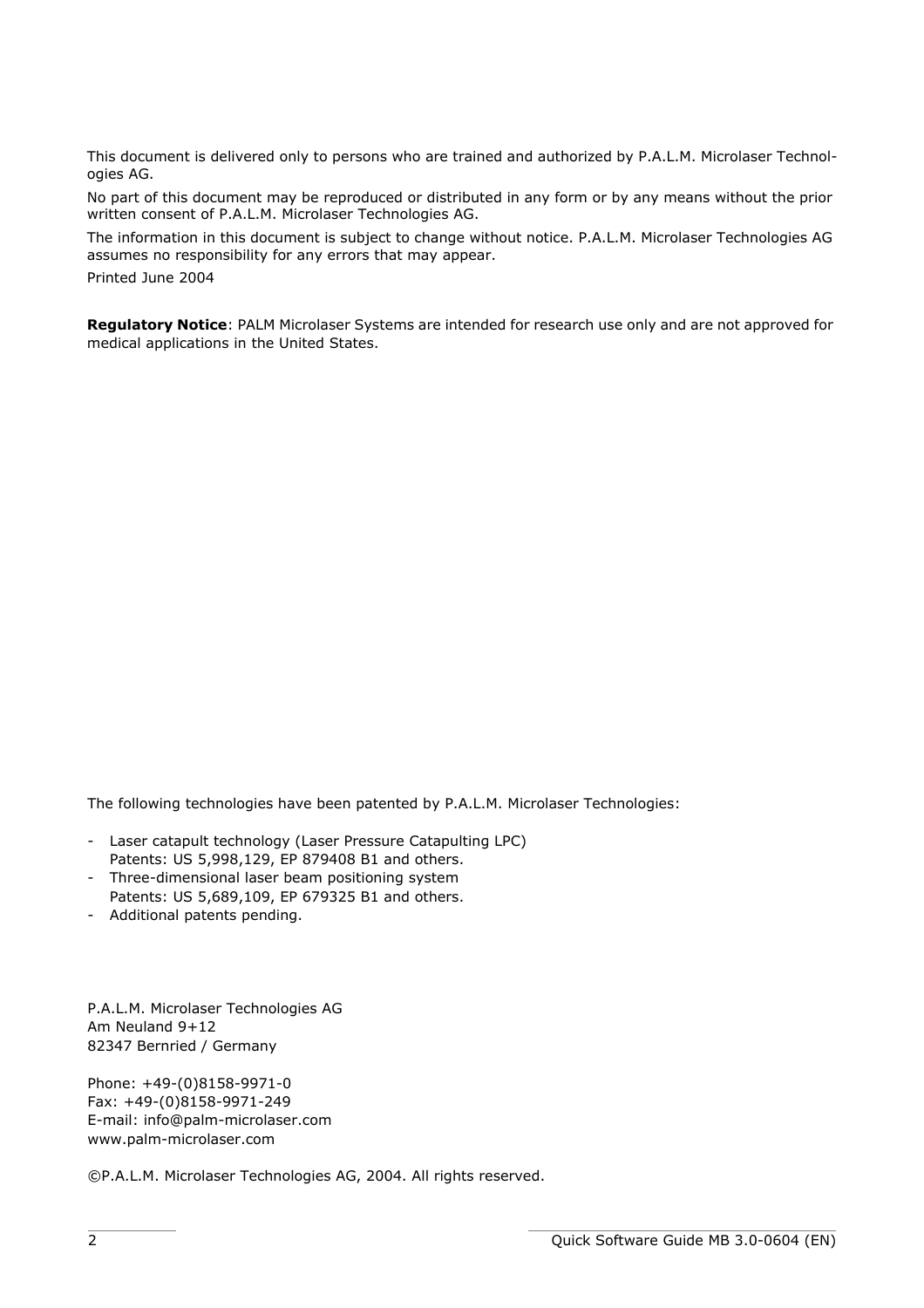This document is delivered only to persons who are trained and authorized by P.A.L.M. Microlaser Technologies AG.

No part of this document may be reproduced or distributed in any form or by any means without the prior written consent of P.A.L.M. Microlaser Technologies AG.

The information in this document is subject to change without notice. P.A.L.M. Microlaser Technologies AG assumes no responsibility for any errors that may appear.

Printed June 2004

**Regulatory Notice**: PALM Microlaser Systems are intended for research use only and are not approved for medical applications in the United States.

The following technologies have been patented by P.A.L.M. Microlaser Technologies:

- Laser catapult technology (Laser Pressure Catapulting LPC) Patents: US 5,998,129, EP 879408 B1 and others.
- Three-dimensional laser beam positioning system Patents: US 5,689,109, EP 679325 B1 and others.
- Additional patents pending.

P.A.L.M. Microlaser Technologies AG Am Neuland 9+12 82347 Bernried / Germany

Phone: +49-(0)8158-9971-0 Fax: +49-(0)8158-9971-249 E-mail: info@palm-microlaser.com www.palm-microlaser.com

©P.A.L.M. Microlaser Technologies AG, 2004. All rights reserved.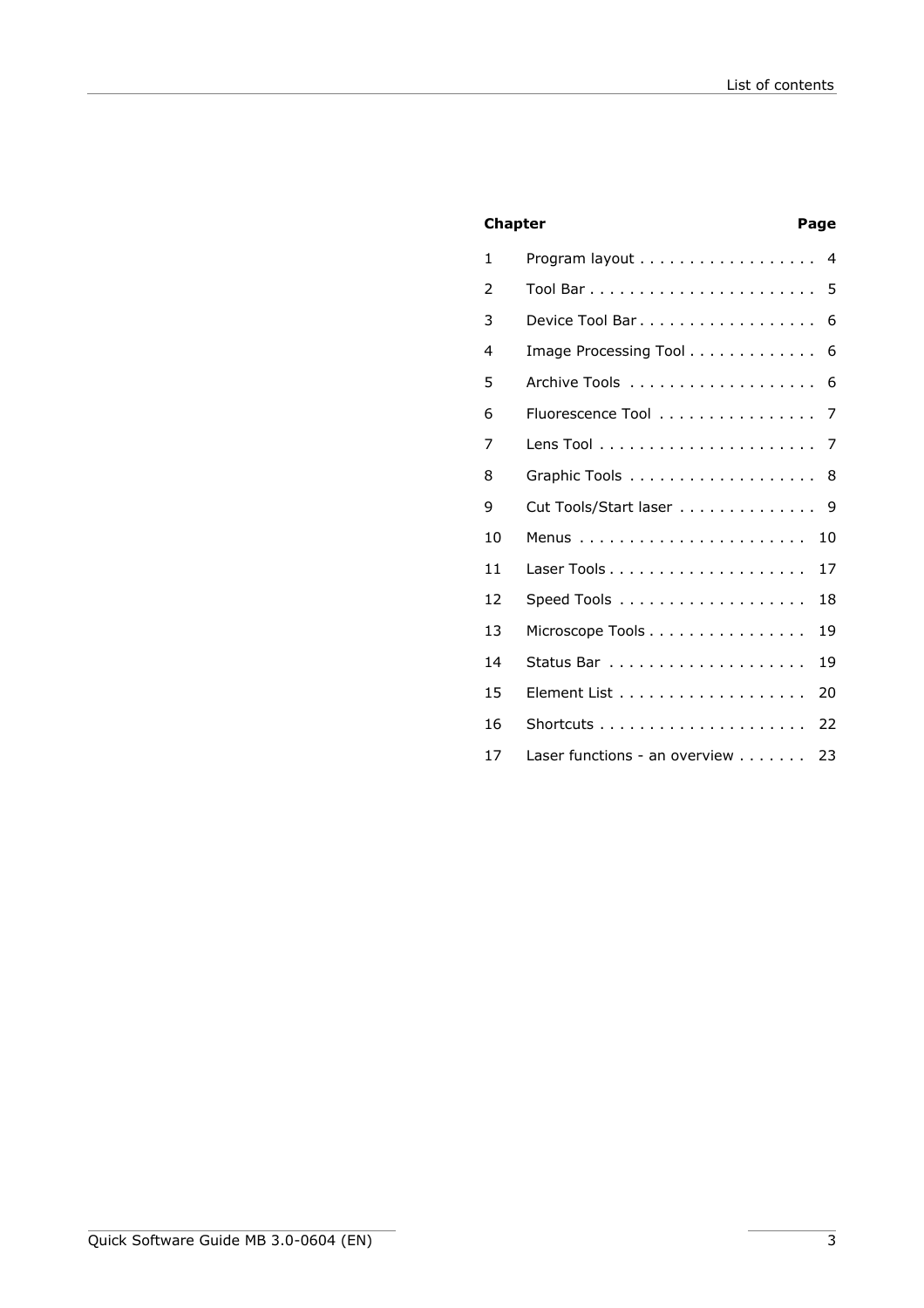# **Chapter Chapter Page**

| 1  | Program layout<br>$\overline{a}$    |
|----|-------------------------------------|
| 2  | 5                                   |
| 3  | 6<br>Device Tool Bar                |
| 4  | Image Processing Tool<br>6          |
| 5  | 6                                   |
| 6  | Fluorescence Tool<br>7              |
| 7  | 7                                   |
| 8  | 8                                   |
| 9  | Cut Tools/Start laser<br>9          |
| 10 | 10                                  |
| 11 | 17                                  |
| 12 | 18                                  |
| 13 | 19<br>Microscope Tools              |
| 14 | 19                                  |
| 15 | 20                                  |
| 16 | 22                                  |
| 17 | Laser functions - an overview<br>23 |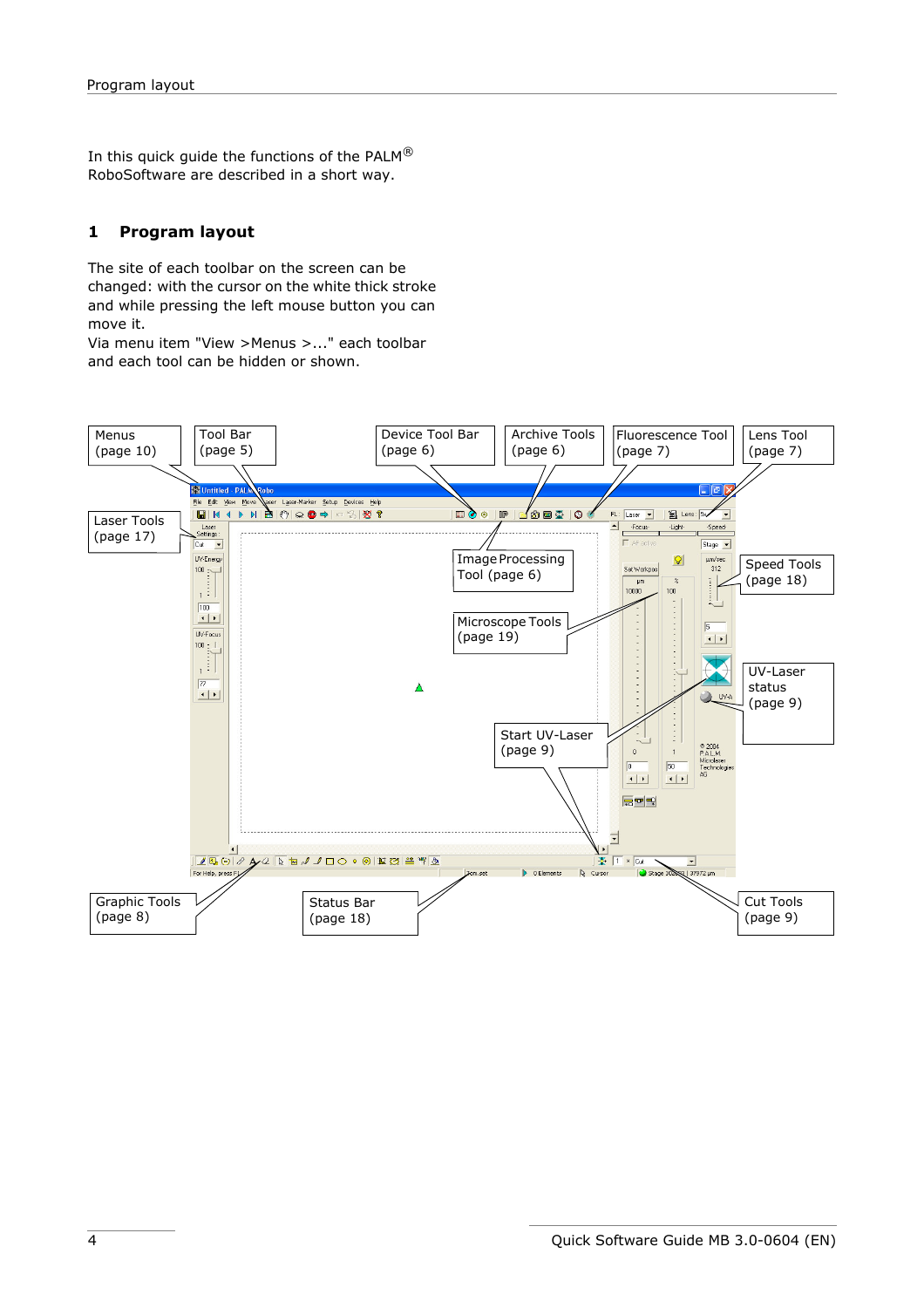In this quick guide the functions of the PALM $^{\circledR}$ RoboSoftware are described in a short way.

# <span id="page-3-0"></span>**1 Program layout**

The site of each toolbar on the screen can be changed: with the cursor on the white thick stroke and while pressing the left mouse button you can move it.

Via menu item "View >Menus >..." each toolbar and each tool can be hidden or shown.

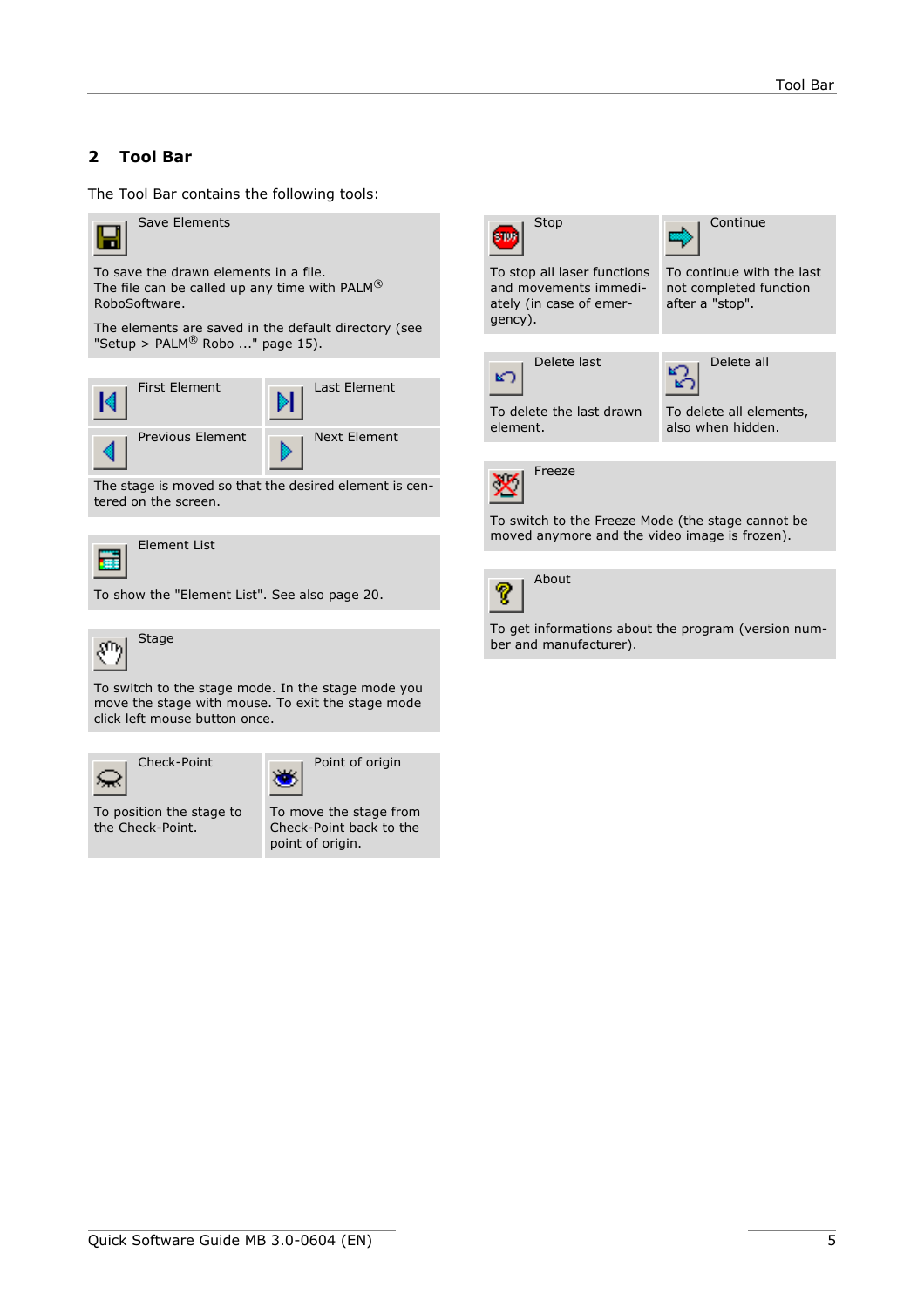# <span id="page-4-0"></span>**2 Tool Bar**

The Tool Bar contains the following tools:



Save Elements

To save the drawn elements in a file. The file can be called up any time with PALM® RoboSoftware.

The elements are saved in the default directory (see "Setup >  $PALM^@$  Robo ..." page 15).

| <b>First Element</b> | Last Element |
|----------------------|--------------|
| Previous Element     | Next Element |

The stage is moved so that the desired element is centered on the screen.



Element List

To show the "Element List". See also [page 20](#page-19-0).



To switch to the stage mode. In the stage mode you move the stage with mouse. To exit the stage mode click left mouse button once.

Check-Point Point of origin



To position the stage to the Check-Point.



To move the stage from Check-Point back to the point of origin.



To get informations about the program (version number and manufacturer).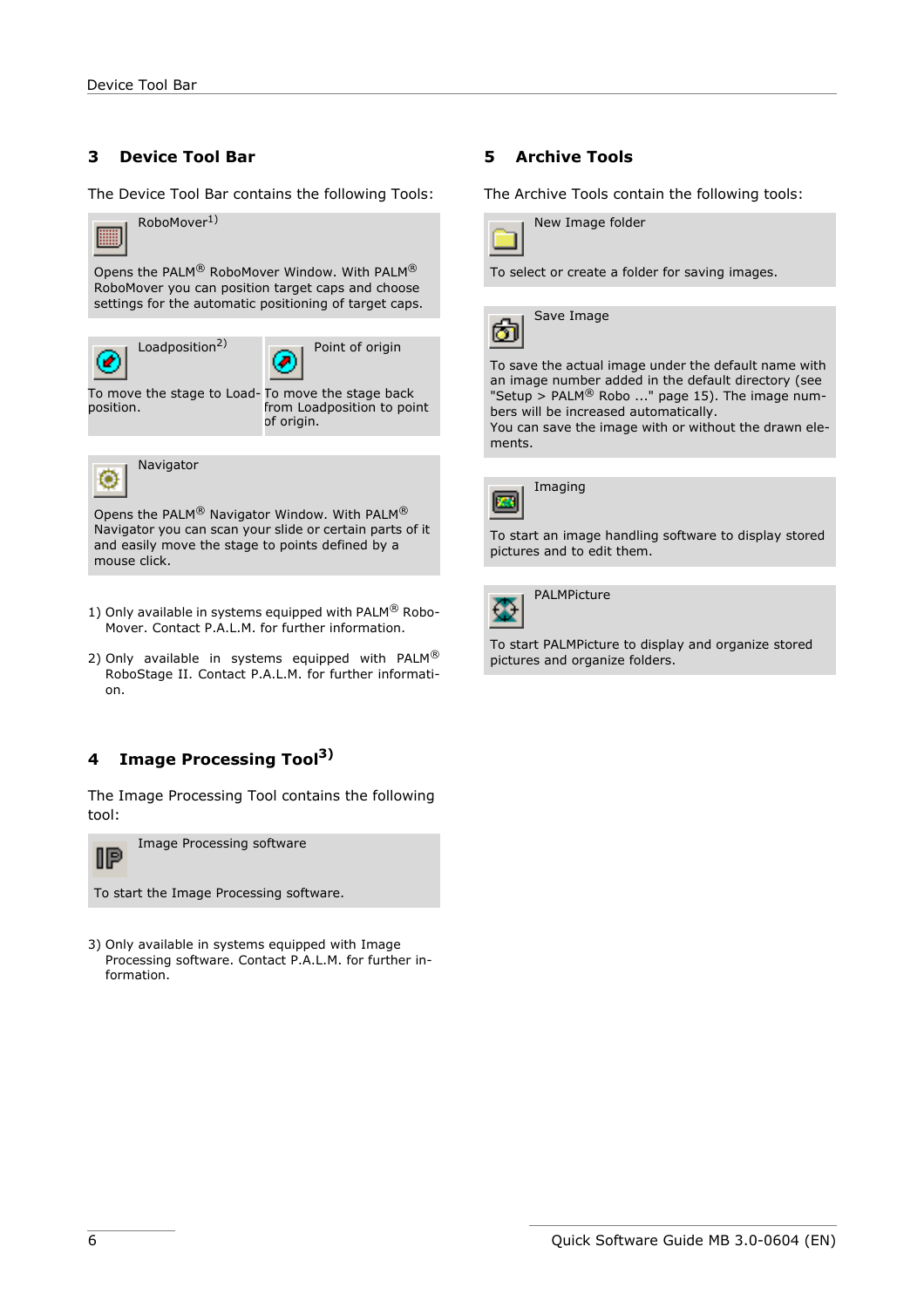# <span id="page-5-0"></span>**3 Device Tool Bar**

The Device Tool Bar contains the following Tools:



Opens the PALM® Navigator Window. With PALM® Navigator you can scan your slide or certain parts of it and easily move the stage to points defined by a mouse click.

- 1) Only available in systems equipped with PALM® Robo-Mover. Contact P.A.L.M. for further information.
- 2) Only available in systems equipped with PALM $^{\circledR}$ RoboStage II. Contact P.A.L.M. for further information.

# <span id="page-5-1"></span>**4 Image Processing Tool3)**

The Image Processing Tool contains the following tool:



To start the Image Processing software.

3) Only available in systems equipped with Image Processing software. Contact P.A.L.M. for further information.

#### <span id="page-5-2"></span>**5 Archive Tools**

The Archive Tools contain the following tools:



To select or create a folder for saving images.



To save the actual image under the default name with an image number added in the default directory (see "Setup >  $PALM^@$  Robo ..." page 15). The image numbers will be increased automatically.

You can save the image with or without the drawn elements.



Imaging

To start an image handling software to display stored pictures and to edit them.

PALMPicture Œ

To start PALMPicture to display and organize stored pictures and organize folders.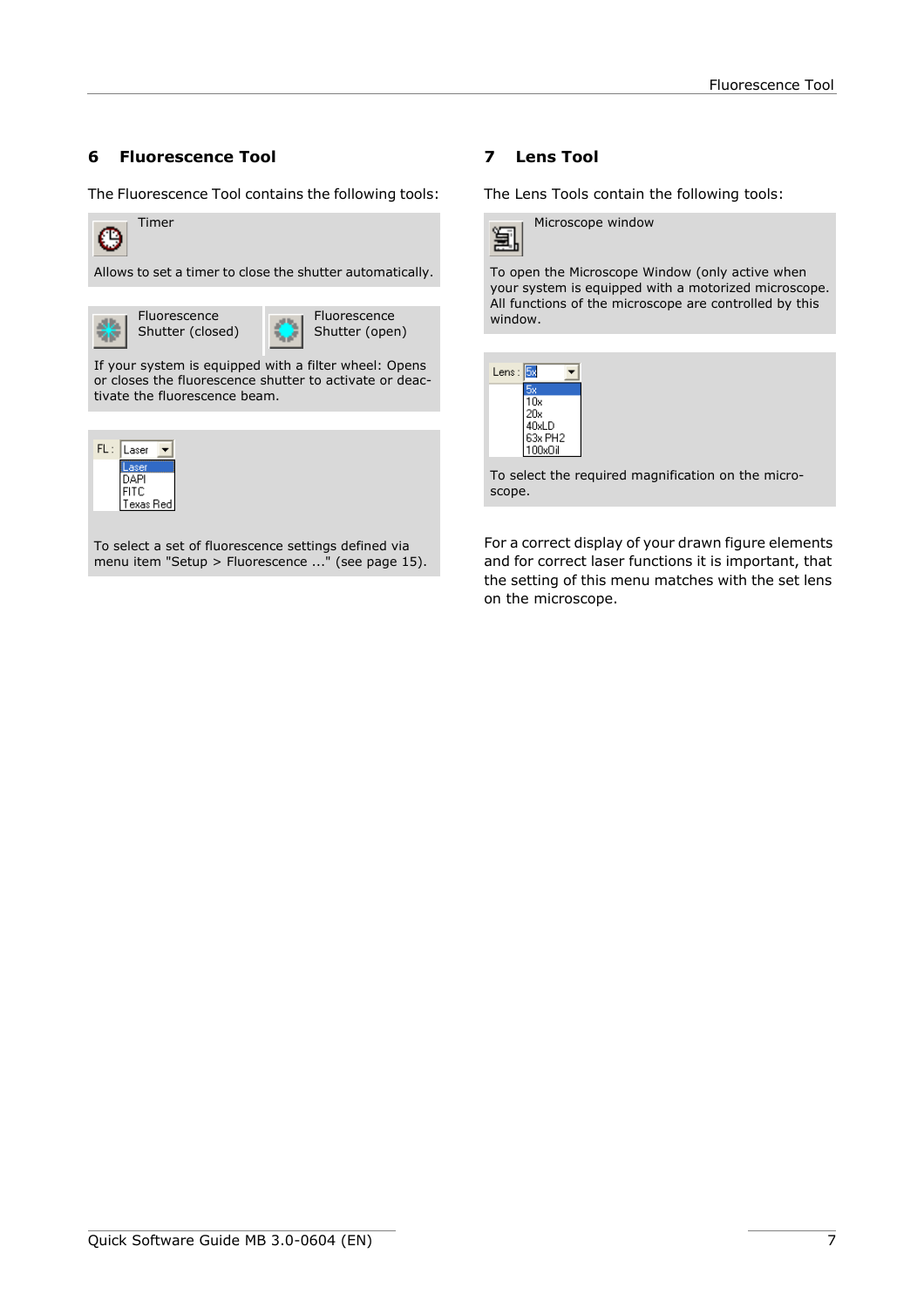# <span id="page-6-0"></span>**6 Fluorescence Tool**

The Fluorescence Tool contains the following tools:



Allows to set a timer to close the shutter automatically.

Fluorescence Fluorescence уų. Alb. Shutter (closed) Shutter (open) 术 If your system is equipped with a filter wheel: Opens or closes the fluorescence shutter to activate or deactivate the fluorescence beam.



To select a set of fluorescence settings defined via menu item "Setup > Fluorescence ..." (see page 15).

# <span id="page-6-1"></span>**7 Lens Tool**

The Lens Tools contain the following tools:



To open the Microscope Window (only active when your system is equipped with a motorized microscope. All functions of the microscope are controlled by this window.



To select the required magnification on the microscope.

For a correct display of your drawn figure elements and for correct laser functions it is important, that the setting of this menu matches with the set lens on the microscope.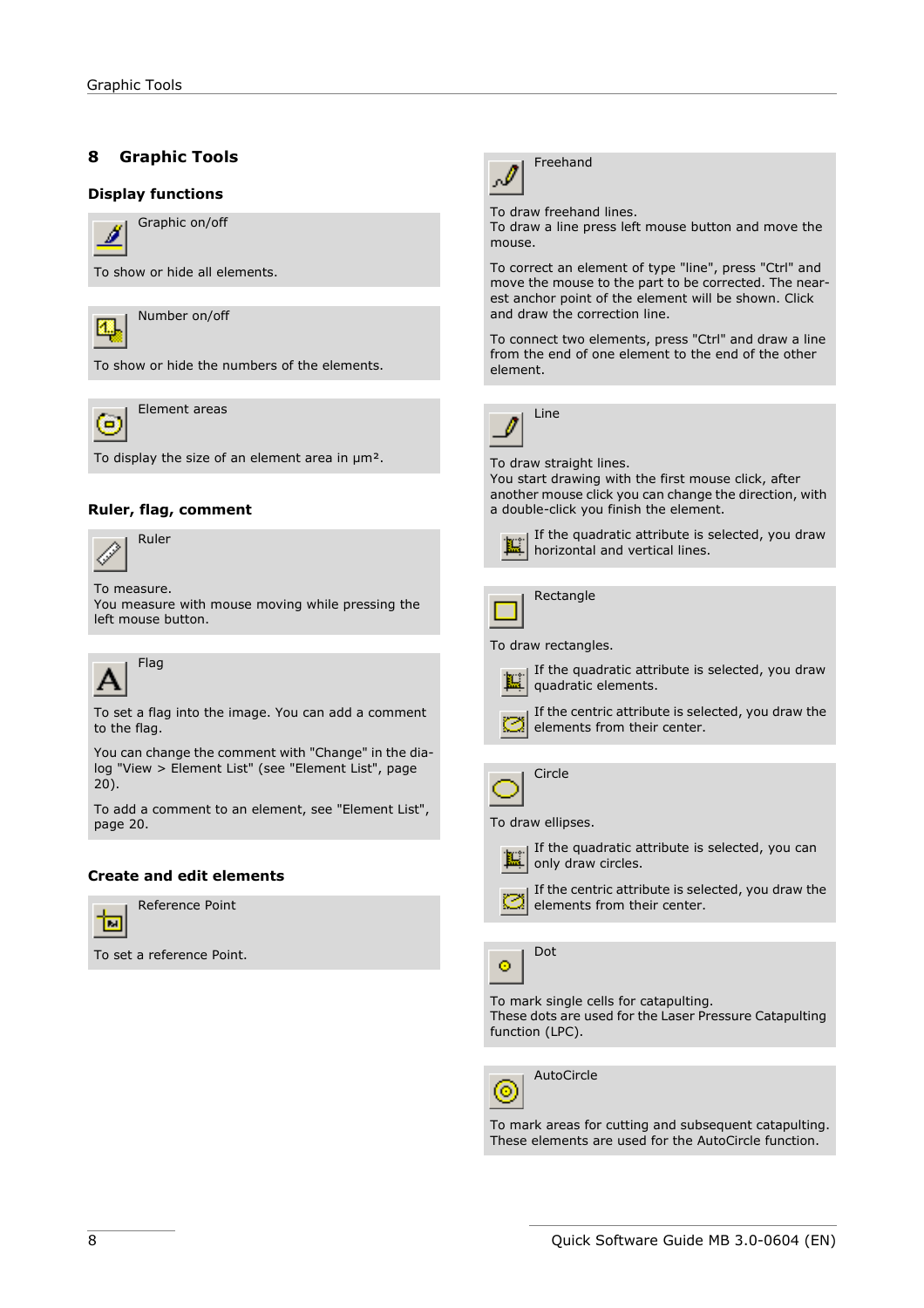# <span id="page-7-0"></span>**8 Graphic Tools**

#### **Display functions**



Graphic on/off

To show or hide all elements.



Number on/off

To show or hide the numbers of the elements.



Element areas

To display the size of an element area in um<sup>2</sup>.

#### **Ruler, flag, comment**



To measure. You measure with mouse moving while pressing the left mouse button.



To set a flag into the image. You can add a comment to the flag.

You can change the comment with "Change" in the dialog "View > Element List" (see ["Element List", page](#page-19-0)  [20\)](#page-19-0).

To add a comment to an element, see ["Element List",](#page-19-0)  [page 20](#page-19-0).

#### **Create and edit elements**



Reference Point

To set a reference Point.



Freehand

To draw freehand lines.

To draw a line press left mouse button and move the mouse.

To correct an element of type "line", press "Ctrl" and move the mouse to the part to be corrected. The nearest anchor point of the element will be shown. Click and draw the correction line.

To connect two elements, press "Ctrl" and draw a line from the end of one element to the end of the other element.



To draw straight lines.

You start drawing with the first mouse click, after another mouse click you can change the direction, with a double-click you finish the element.



If the quadratic attribute is selected, you draw horizontal and vertical lines.

| Rectangle |
|-----------|
|           |

., To draw rectangles.

If the quadratic attribute is selected, you draw 膃 quadratic elements.

If the centric attribute is selected, you draw the elements from their center.



To draw ellipses.



If the centric attribute is selected, you draw the elements from their center.



To mark single cells for catapulting.

These dots are used for the Laser Pressure Catapulting function (LPC).



AutoCircle

To mark areas for cutting and subsequent catapulting. These elements are used for the AutoCircle function.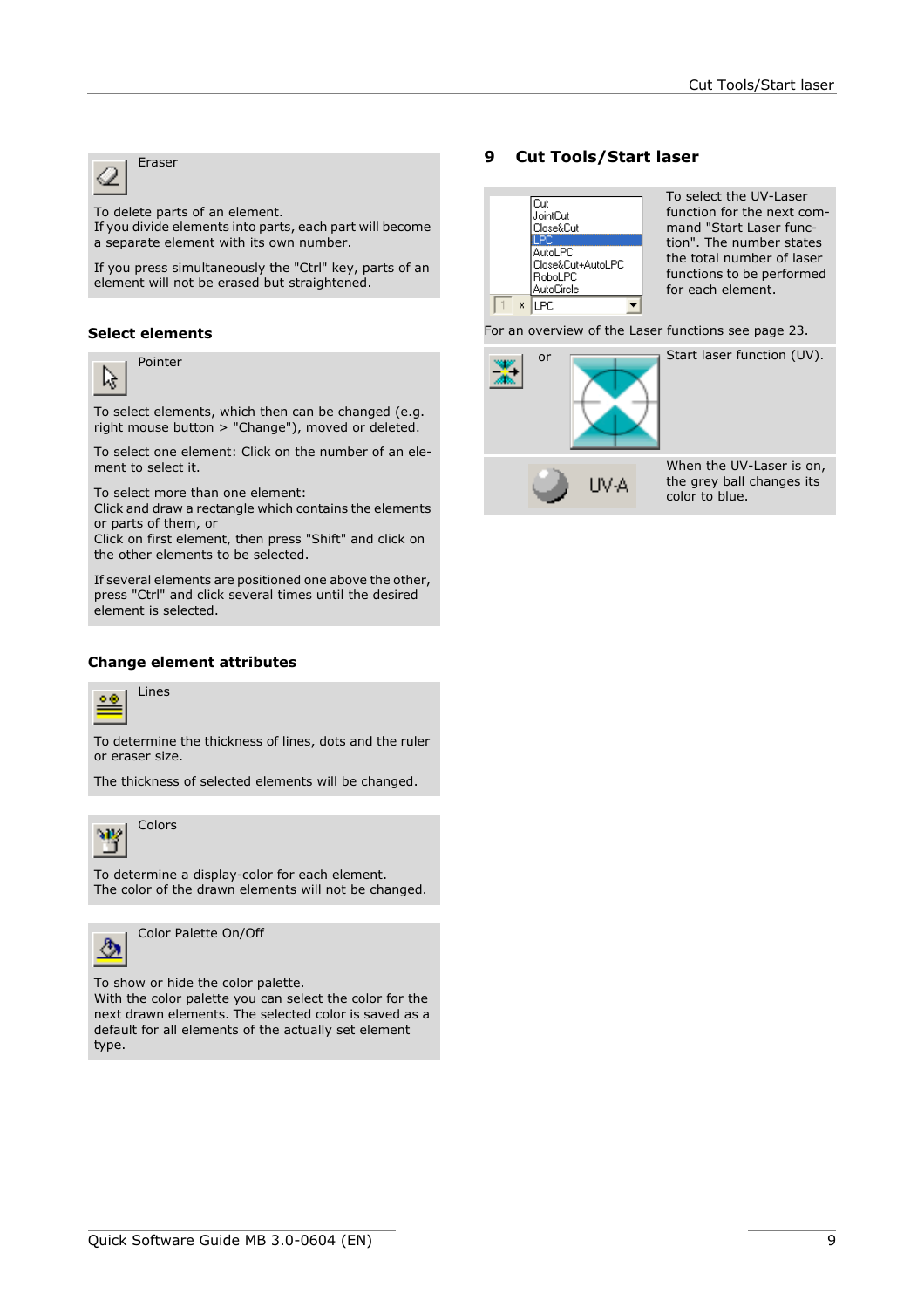ℒ

To delete parts of an element.

If you divide elements into parts, each part will become a separate element with its own number.

If you press simultaneously the "Ctrl" key, parts of an element will not be erased but straightened.

### **Select elements**

Pointer



To select elements, which then can be changed (e.g.

right mouse button > "Change"), moved or deleted.

To select one element: Click on the number of an element to select it.

To select more than one element:

Click and draw a rectangle which contains the elements or parts of them, or

Click on first element, then press "Shift" and click on the other elements to be selected.

If several elements are positioned one above the other, press "Ctrl" and click several times until the desired element is selected.

#### <span id="page-8-1"></span>**Change element attributes**



To determine the thickness of lines, dots and the ruler or eraser size.

The thickness of selected elements will be changed.



To determine a display-color for each element. The color of the drawn elements will not be changed.



Color Palette On/Off

To show or hide the color palette.

With the color palette you can select the color for the next drawn elements. The selected color is saved as a default for all elements of the actually set element type.

# **Fraser 9 Cut Tools/Start laser**

<span id="page-8-0"></span>

For an overview of the Laser functions see [page 23.](#page--1-0)

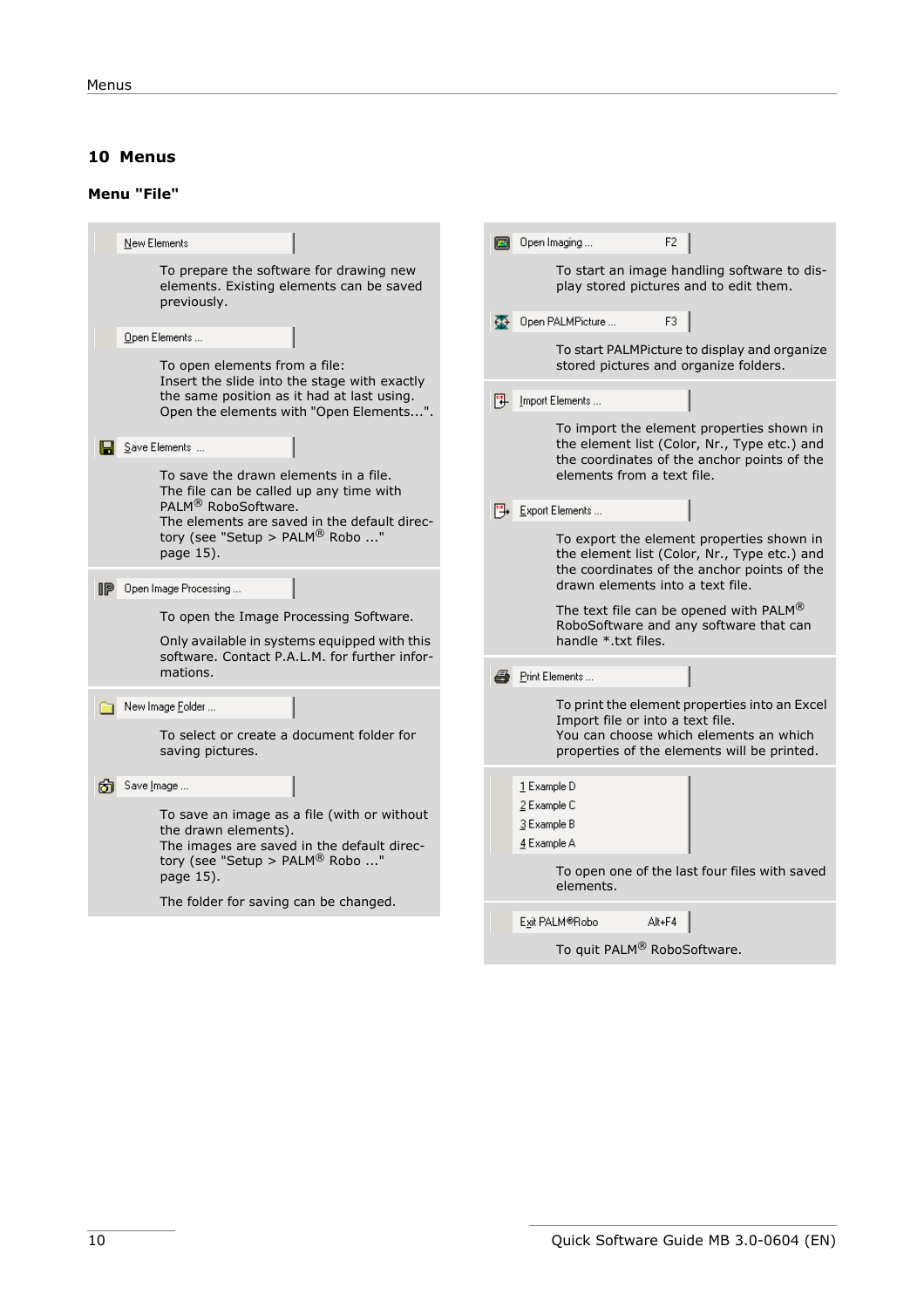# <span id="page-9-0"></span>**10 Menus**

# <span id="page-9-1"></span>**Menu "File"**

| New Elements                                                                                                                          | Open Imaging<br>F2                                                                                                                       |
|---------------------------------------------------------------------------------------------------------------------------------------|------------------------------------------------------------------------------------------------------------------------------------------|
| To prepare the software for drawing new<br>elements. Existing elements can be saved<br>previously.                                    | To start an image handling software to dis-<br>play stored pictures and to edit them.<br>Open PALMPicture<br>F3                          |
| Open Elements                                                                                                                         |                                                                                                                                          |
| To open elements from a file:                                                                                                         | To start PALMPicture to display and organize<br>stored pictures and organize folders.                                                    |
| Insert the slide into the stage with exactly<br>the same position as it had at last using.<br>Open the elements with "Open Elements". | [14] Import Elements                                                                                                                     |
| Save Elements                                                                                                                         | To import the element properties shown in<br>the element list (Color, Nr., Type etc.) and                                                |
| To save the drawn elements in a file.<br>The file can be called up any time with                                                      | the coordinates of the anchor points of the<br>elements from a text file.                                                                |
| PALM <sup>®</sup> RoboSoftware.<br>The elements are saved in the default direc-                                                       | Export Elements                                                                                                                          |
| tory (see "Setup > PALM® Robo "<br>page 15).                                                                                          | To export the element properties shown in<br>the element list (Color, Nr., Type etc.) and<br>the coordinates of the anchor points of the |
| Open Image Processing<br>IP                                                                                                           | drawn elements into a text file.                                                                                                         |
| To open the Image Processing Software.                                                                                                | The text file can be opened with PALM®<br>RoboSoftware and any software that can                                                         |
| Only available in systems equipped with this<br>software. Contact P.A.L.M. for further infor-                                         | handle * txt files.                                                                                                                      |
| mations.                                                                                                                              | <i>A</i> Print Elements                                                                                                                  |
| New Image Folder                                                                                                                      | To print the element properties into an Excel<br>Import file or into a text file.                                                        |
| To select or create a document folder for<br>saving pictures.                                                                         | You can choose which elements an which<br>properties of the elements will be printed.                                                    |
| Save Image                                                                                                                            | 1 Example D                                                                                                                              |
| To save an image as a file (with or without<br>the drawn elements).                                                                   | 2 Example C<br>3 Example B                                                                                                               |
| The images are saved in the default direc-<br>tory (see "Setup > $PALM^@$ Robo "                                                      | 4 Example A                                                                                                                              |
| page 15).                                                                                                                             | To open one of the last four files with saved<br>elements.                                                                               |
| The folder for saving can be changed.                                                                                                 | Alt+F4<br>Exit PALM®Robo                                                                                                                 |
|                                                                                                                                       | To quit PALM® RoboSoftware.                                                                                                              |
|                                                                                                                                       |                                                                                                                                          |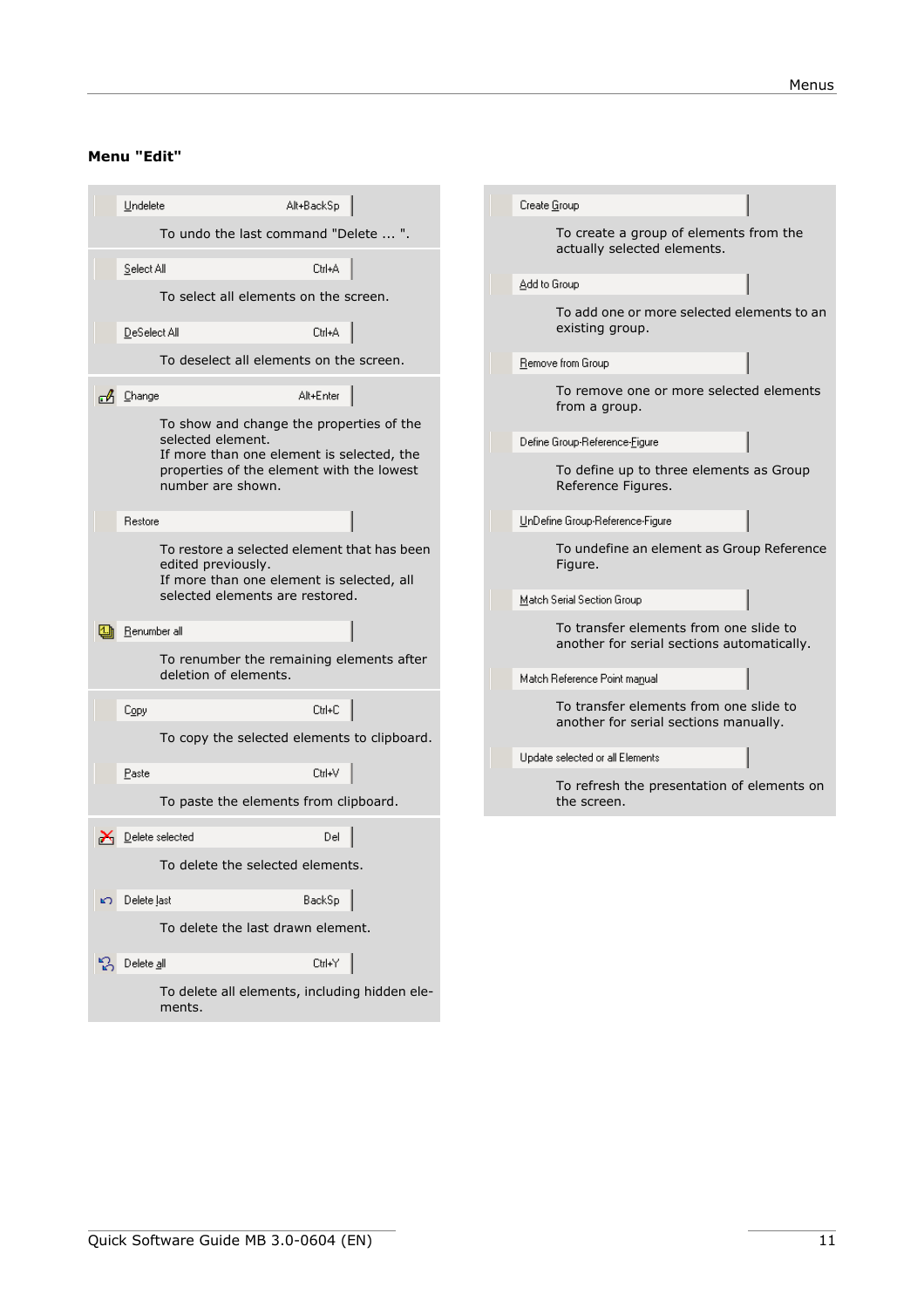# <span id="page-10-0"></span>**Menu "Edit"**

|    | Undelete               | Alt+BackSp                                                                               | Create Group                                                                         |
|----|------------------------|------------------------------------------------------------------------------------------|--------------------------------------------------------------------------------------|
|    |                        | To undo the last command "Delete  ".                                                     | To create a group of elements from the<br>actually selected elements.                |
|    | Select All             | Ctrl+A                                                                                   | Add to Group                                                                         |
|    |                        | To select all elements on the screen.                                                    |                                                                                      |
|    | DeSelect All           | Ctrl+A                                                                                   | To add one or more selected elements to an<br>existing group.                        |
|    |                        | To deselect all elements on the screen.                                                  | Remove from Group                                                                    |
|    | $\mathcal{A}$ Change   | Alt+Enter<br>To show and change the properties of the                                    | To remove one or more selected elements<br>from a group.                             |
|    | selected element.      | If more than one element is selected, the                                                | Define Group-Reference-Figure                                                        |
|    | number are shown.      | properties of the element with the lowest                                                | To define up to three elements as Group<br>Reference Figures.                        |
|    | Restore                |                                                                                          | UnDefine Group-Reference-Figure                                                      |
|    | edited previously.     | To restore a selected element that has been<br>If more than one element is selected, all | To undefine an element as Group Reference<br>Figure.                                 |
|    |                        | selected elements are restored.                                                          | Match Serial Section Group                                                           |
|    | Renumber all           |                                                                                          | To transfer elements from one slide to<br>another for serial sections automatically. |
|    |                        | To renumber the remaining elements after<br>deletion of elements.                        | Match Reference Point manual                                                         |
|    | Copy                   | Ctrl+C                                                                                   | To transfer elements from one slide to                                               |
|    |                        | To copy the selected elements to clipboard.                                              | another for serial sections manually.                                                |
|    |                        |                                                                                          | Update selected or all Elements                                                      |
|    | Paste                  | Ctrl+V                                                                                   | To refresh the presentation of elements on                                           |
|    |                        | To paste the elements from clipboard.                                                    | the screen.                                                                          |
|    | $\sum$ Delete selected | Del                                                                                      |                                                                                      |
|    |                        | To delete the selected elements.                                                         |                                                                                      |
|    | ะว Delete last         | BackSp                                                                                   |                                                                                      |
|    |                        | To delete the last drawn element.                                                        |                                                                                      |
| B. | Delete all             | Ctrl+Y                                                                                   |                                                                                      |
|    | ments.                 | To delete all elements, including hidden ele-                                            |                                                                                      |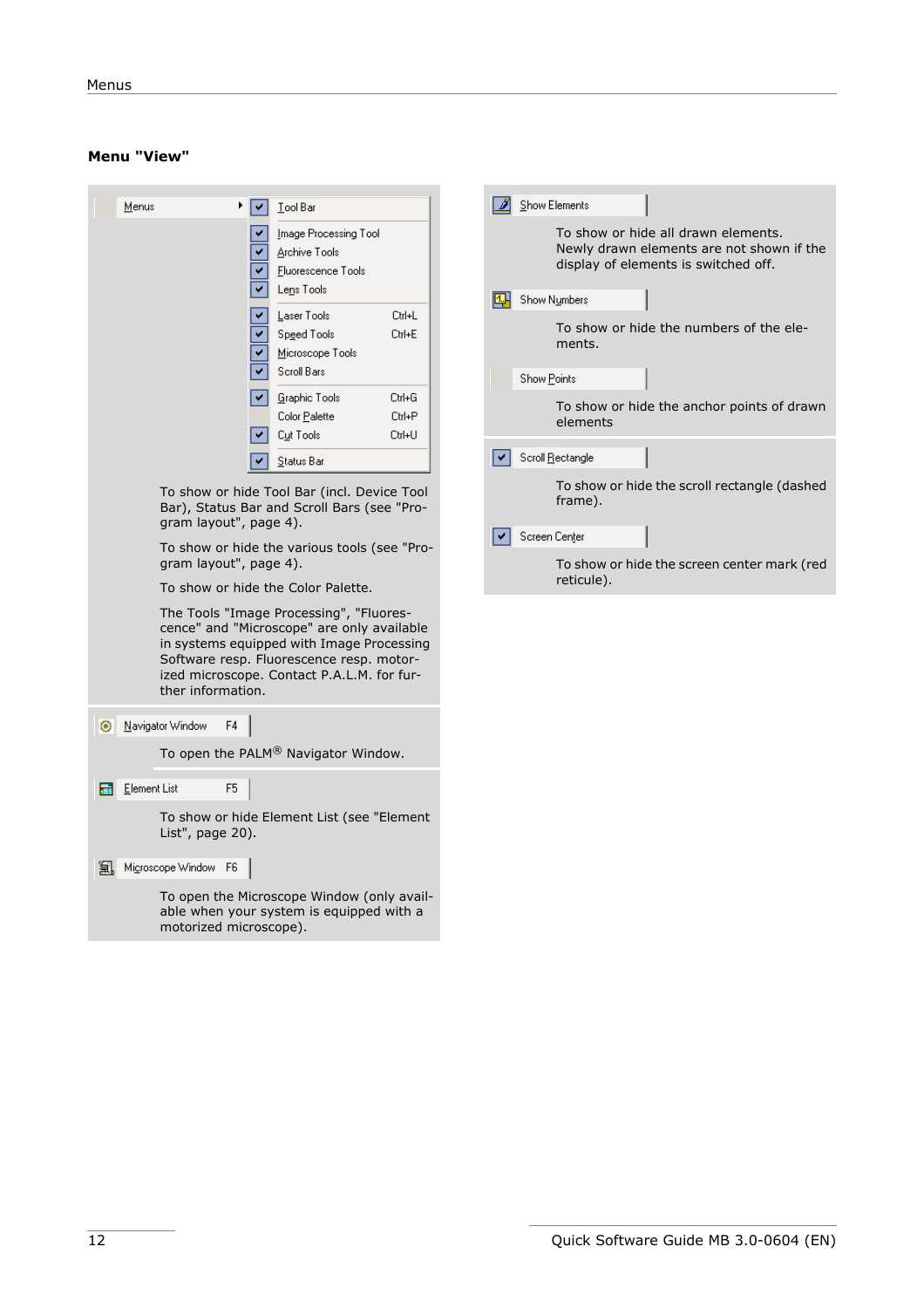#### **Menu "View"**

|            | <u>M</u> enus |                                                                       |    | Tool Bar<br>Image Processing Tool<br>Archive Tools<br><b>Fluorescence Tools</b><br>Lens Tools<br>Laser Tools<br>Speed Tools<br>Microscope Tools<br>Scroll Bars                                                                                                                                                     | Ctrl+L<br>Ctrl+E | 四. |
|------------|---------------|-----------------------------------------------------------------------|----|--------------------------------------------------------------------------------------------------------------------------------------------------------------------------------------------------------------------------------------------------------------------------------------------------------------------|------------------|----|
|            |               |                                                                       |    | Graphic Tools<br>Color Palette                                                                                                                                                                                                                                                                                     | Ctrl+G<br>Ctrl+P |    |
|            |               |                                                                       |    | Cut Tools                                                                                                                                                                                                                                                                                                          | Ctrl+U           |    |
|            |               |                                                                       |    | Status Bar                                                                                                                                                                                                                                                                                                         |                  |    |
|            |               | gram layout", page 4).<br>gram layout", page 4).<br>ther information. |    | To show or hide the various tools (see "Pro-<br>To show or hide the Color Palette.<br>The Tools "Image Processing", "Fluores-<br>cence" and "Microscope" are only available<br>in systems equipped with Image Processing<br>Software resp. Fluorescence resp. motor-<br>ized microscope. Contact P.A.L.M. for fur- |                  |    |
|            |               | Navigator Window                                                      | F4 |                                                                                                                                                                                                                                                                                                                    |                  |    |
|            |               |                                                                       |    | To open the PALM <sup>®</sup> Navigator Window.                                                                                                                                                                                                                                                                    |                  |    |
| <b>Rea</b> | Element List  |                                                                       | F5 |                                                                                                                                                                                                                                                                                                                    |                  |    |
|            |               | List", page 20).                                                      |    | To show or hide Element List (see "Element                                                                                                                                                                                                                                                                         |                  |    |
|            |               | 道, Microscope Window F6                                               |    |                                                                                                                                                                                                                                                                                                                    |                  |    |
|            |               | motorized microscope).                                                |    | To open the Microscope Window (only avail-<br>able when your system is equipped with a                                                                                                                                                                                                                             |                  |    |

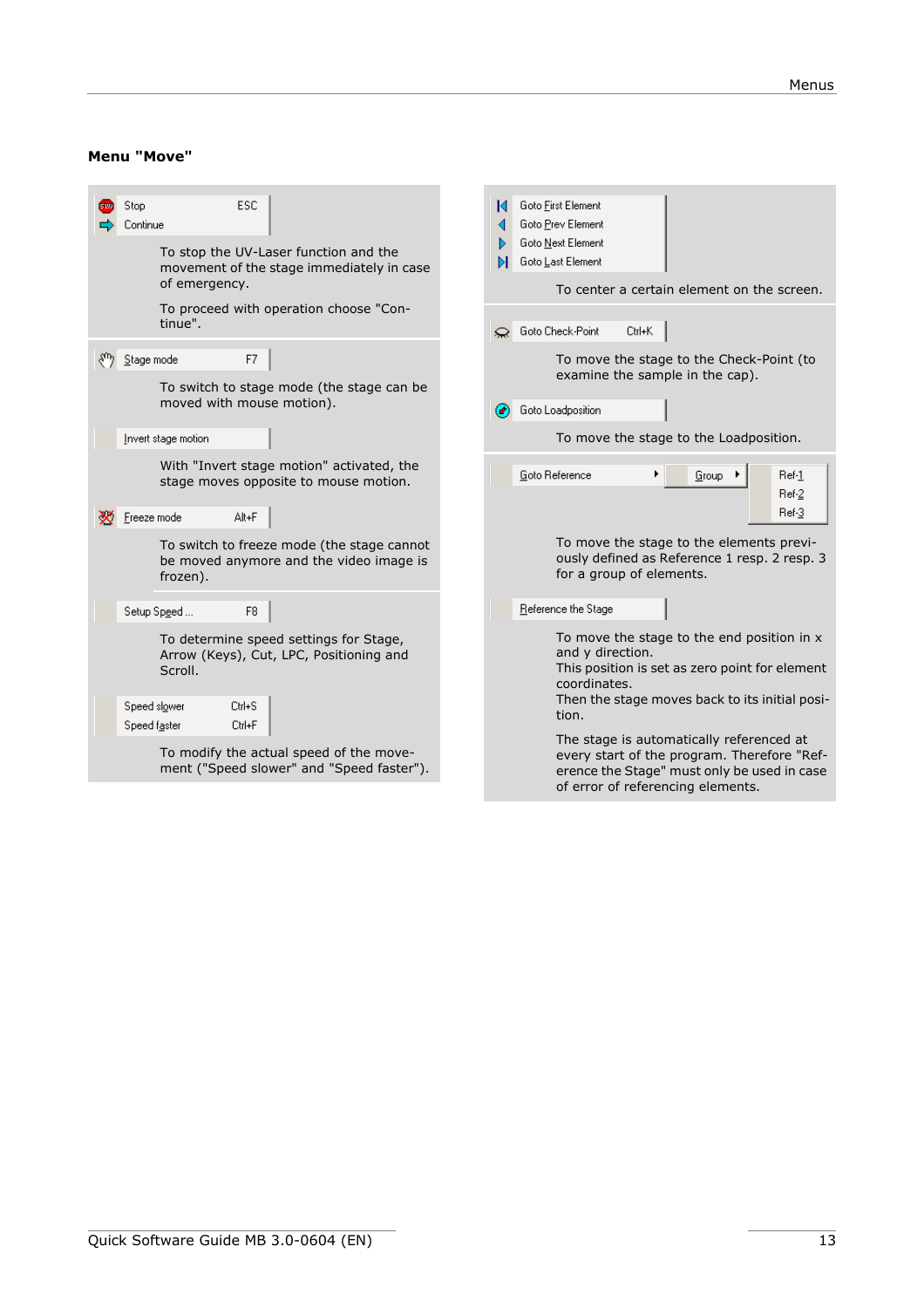#### **Menu "Move"**

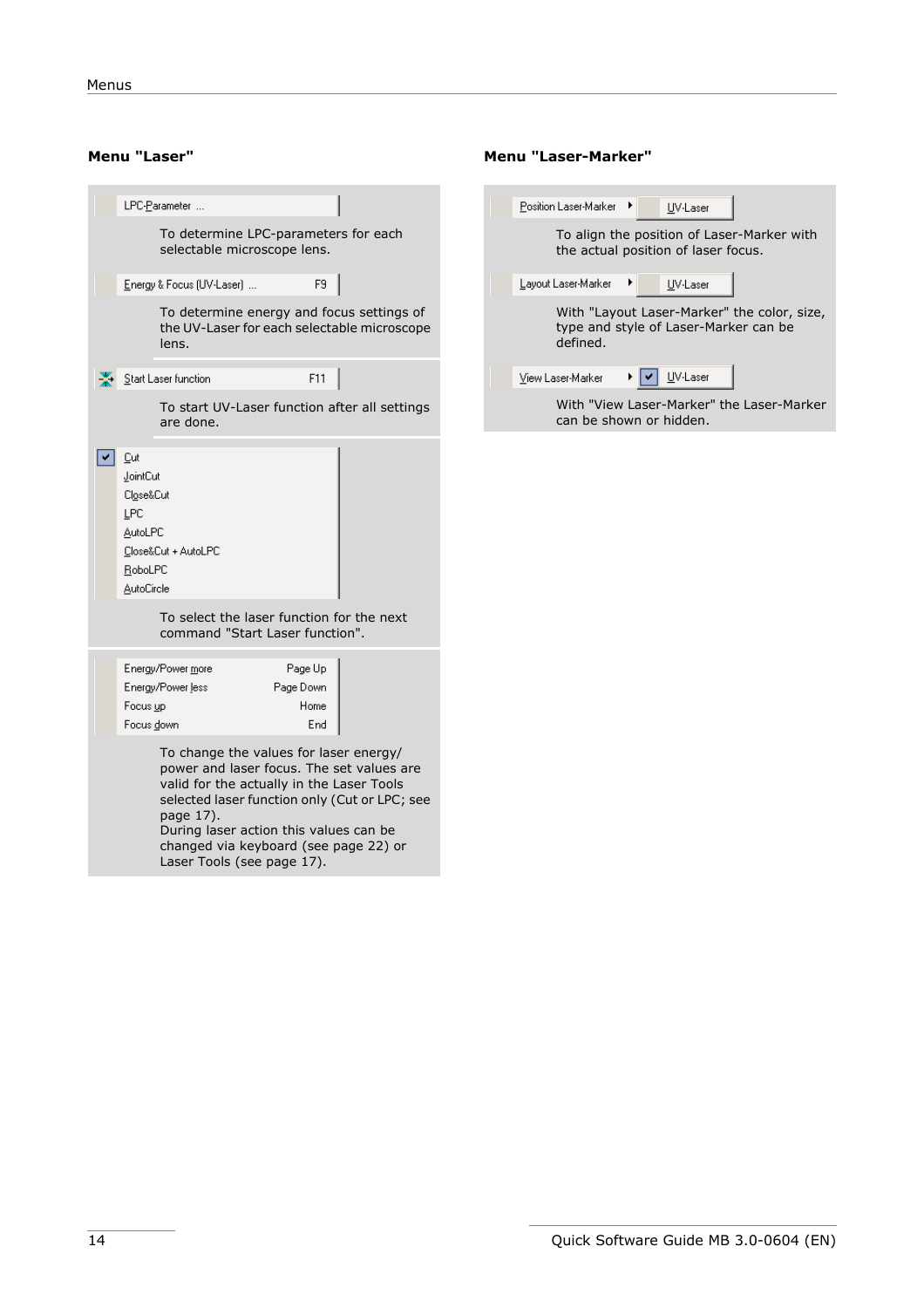|                                                                                | LPC-Parameter                                                                                    |           |                        |                                                                                            |
|--------------------------------------------------------------------------------|--------------------------------------------------------------------------------------------------|-----------|------------------------|--------------------------------------------------------------------------------------------|
|                                                                                | To determine LPC-parameters for each<br>selectable microscope lens.                              |           |                        |                                                                                            |
|                                                                                | Energy & Focus (UV-Laser)                                                                        |           | F9                     |                                                                                            |
|                                                                                | lens.                                                                                            |           |                        | To determine energy and focus settings of<br>the UV-Laser for each selectable microscope   |
|                                                                                | Start Laser function                                                                             |           | F11                    |                                                                                            |
|                                                                                | are done.                                                                                        |           |                        | To start UV-Laser function after all settings                                              |
| Cut<br>JointCut<br>Close&Cut<br>LPC<br><b>AutoLPC</b><br>RoboLPC<br>AutoCircle | Close&Cut + AutoLPC                                                                              |           |                        |                                                                                            |
|                                                                                | To select the laser function for the next<br>command "Start Laser function".                     |           |                        |                                                                                            |
| Focus up<br>Focus down                                                         | Energy/Power more<br>Energy/Power less                                                           | Page Down | Page Up<br>Home<br>End |                                                                                            |
|                                                                                | To change the values for laser energy/<br>valid for the actually in the Laser Tools<br>page 17). |           |                        | power and laser focus. The set values are<br>selected laser function only (Cut or LPC; see |

During laser action this values can be changed via keyboard (see [page 22](#page-21-0)) or Laser Tools (see [page 17\)](#page-16-0).

#### **Menu "Laser"** Menu "Laser-Marker"

| ٠<br>Position Laser-Marker | UV-Laser                                                                             |
|----------------------------|--------------------------------------------------------------------------------------|
|                            | To align the position of Laser-Marker with<br>the actual position of laser focus.    |
| ▶<br>Layout Laser-Marker   | UV-Laser                                                                             |
| defined.                   | With "Layout Laser-Marker" the color, size,<br>type and style of Laser-Marker can be |
| View Laser-Marker          | UV-Laser                                                                             |
| can be shown or hidden.    | With "View Laser-Marker" the Laser-Marker                                            |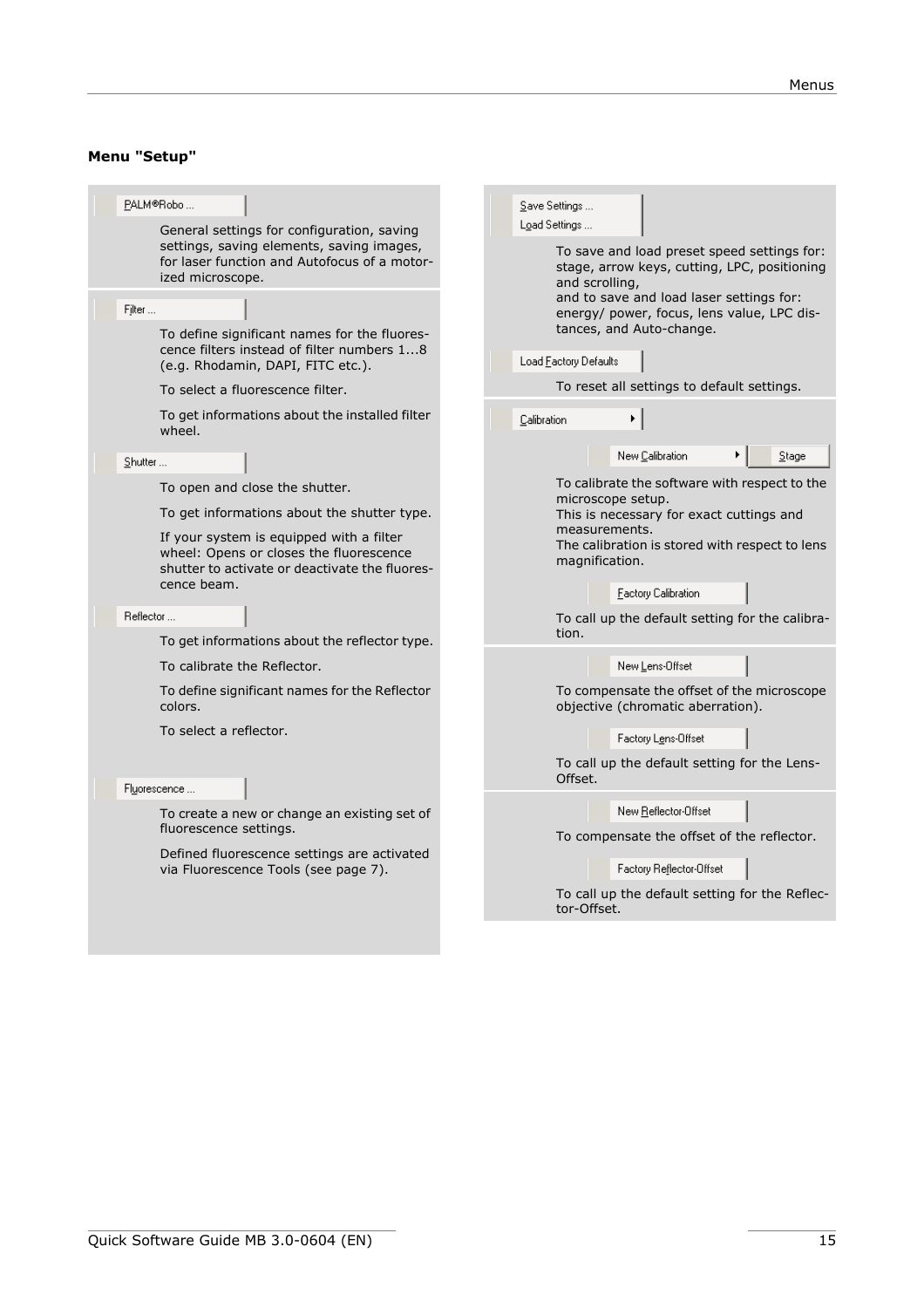# **Menu "Setup"**

| PALM®Robo<br>General settings for configuration, saving<br>settings, saving elements, saving images,<br>for laser function and Autofocus of a motor-<br>ized microscope.<br>Filter<br>To define significant names for the fluores-<br>cence filters instead of filter numbers 18<br>(e.g. Rhodamin, DAPI, FITC etc.).<br>To select a fluorescence filter.                                                                           | Save Settings<br>Load Settings<br>To save and load preset speed settings for:<br>stage, arrow keys, cutting, LPC, positioning<br>and scrolling,<br>and to save and load laser settings for:<br>energy/ power, focus, lens value, LPC dis-<br>tances, and Auto-change.<br>Load Eactory Defaults<br>To reset all settings to default settings.                                                                                                                                                           |
|-------------------------------------------------------------------------------------------------------------------------------------------------------------------------------------------------------------------------------------------------------------------------------------------------------------------------------------------------------------------------------------------------------------------------------------|--------------------------------------------------------------------------------------------------------------------------------------------------------------------------------------------------------------------------------------------------------------------------------------------------------------------------------------------------------------------------------------------------------------------------------------------------------------------------------------------------------|
| To get informations about the installed filter<br>wheel.                                                                                                                                                                                                                                                                                                                                                                            | Calibration                                                                                                                                                                                                                                                                                                                                                                                                                                                                                            |
| Shutter<br>To open and close the shutter.<br>To get informations about the shutter type.<br>If your system is equipped with a filter<br>wheel: Opens or closes the fluorescence<br>shutter to activate or deactivate the fluores-<br>cence beam.<br>Reflector<br>To get informations about the reflector type.<br>To calibrate the Reflector.<br>To define significant names for the Reflector<br>colors.<br>To select a reflector. | New Calibration<br>Stage<br>To calibrate the software with respect to the<br>microscope setup.<br>This is necessary for exact cuttings and<br>measurements.<br>The calibration is stored with respect to lens<br>magnification.<br><b>Factory Calibration</b><br>To call up the default setting for the calibra-<br>tion.<br>New Lens-Offset<br>To compensate the offset of the microscope<br>objective (chromatic aberration).<br>Factory Lens-Offset<br>To call up the default setting for the Lens- |
| Fl <u>u</u> orescence<br>To create a new or change an existing set of<br>fluorescence settings.<br>Defined fluorescence settings are activated<br>via Fluorescence Tools (see page 7).                                                                                                                                                                                                                                              | Offset.<br>New Reflector-Offset<br>To compensate the offset of the reflector.<br>Factory Reflector-Offset<br>To call up the default setting for the Reflec-<br>tor-Offset.                                                                                                                                                                                                                                                                                                                             |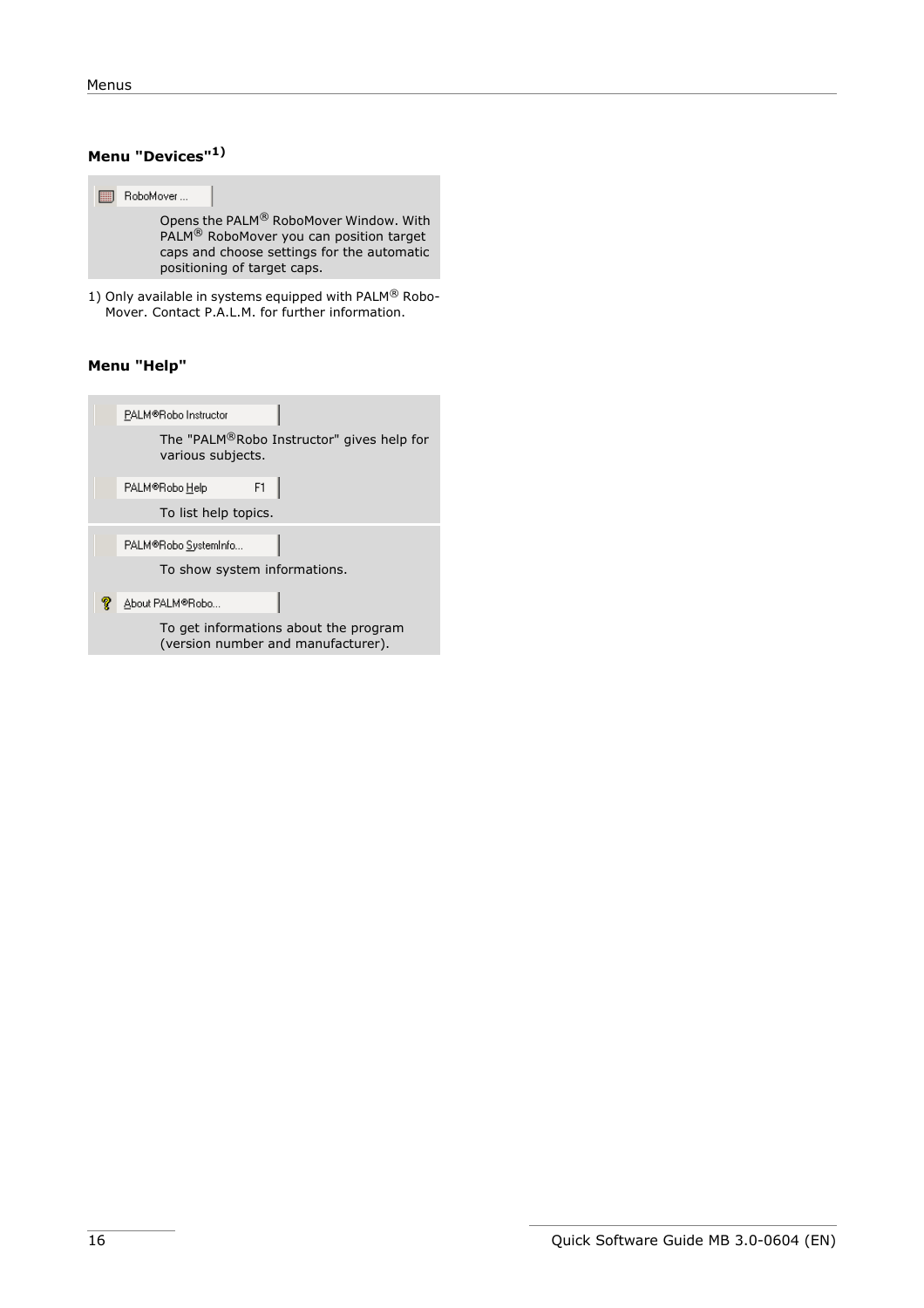# **Menu "Devices"1)**



1) Only available in systems equipped with PALM $^{\circledR}$  Robo-Mover. Contact P.A.L.M. for further information.

#### **Menu "Help"**

| PALM®Robo Instructor                                                        |
|-----------------------------------------------------------------------------|
| The "PALM®Robo Instructor" gives help for<br>various subjects.              |
| F1<br>PALM®Robo Help                                                        |
| To list help topics.                                                        |
| PALM®Robo SystemInfo                                                        |
| To show system informations.                                                |
| About PALM®Robo                                                             |
| To get informations about the program<br>(version number and manufacturer). |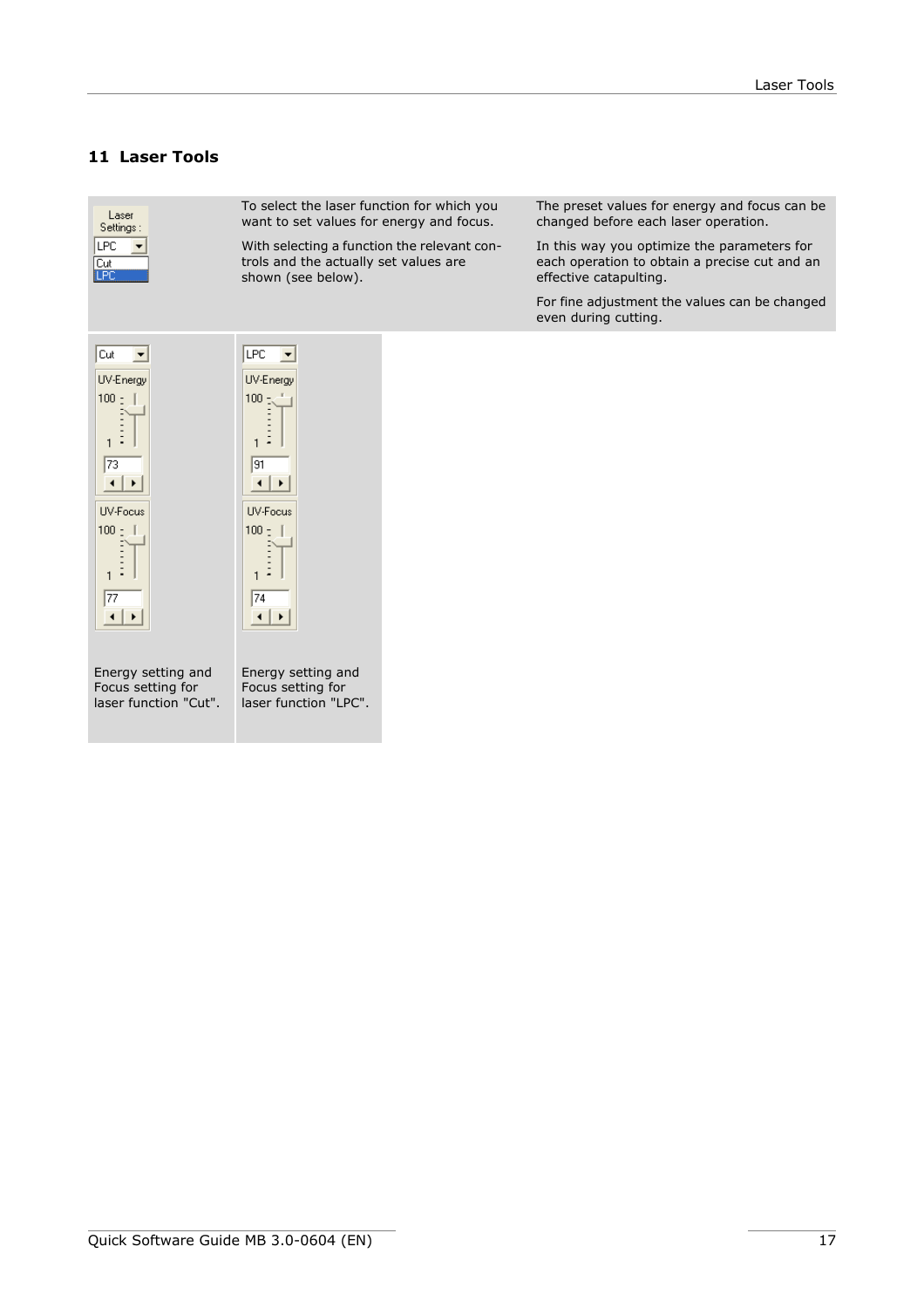# <span id="page-16-0"></span>**11 Laser Tools**

| Laser<br>Settings:<br>LPC<br>Cut<br><b>LPC</b>                                                   | To select the laser function for which you<br>want to set values for energy and focus.<br>With selecting a function the relevant con-<br>trols and the actually set values are<br>shown (see below). | The preset values for energy and focus can be<br>changed before each laser operation.<br>In this way you optimize the parameters for<br>each operation to obtain a precise cut and an<br>effective catapulting.<br>For fine adjustment the values can be changed |
|--------------------------------------------------------------------------------------------------|------------------------------------------------------------------------------------------------------------------------------------------------------------------------------------------------------|------------------------------------------------------------------------------------------------------------------------------------------------------------------------------------------------------------------------------------------------------------------|
|                                                                                                  |                                                                                                                                                                                                      | even during cutting.                                                                                                                                                                                                                                             |
| Cut<br>UV-Energy<br>$100 - 1$<br>73<br>$\blacktriangleright$<br><b>UV-Focus</b><br>$100 -$<br>77 | LPC<br>UV-Energy<br>$100 -$<br>-<br>91<br>$\blacktriangleright$<br>UV-Focus<br>$100 -$<br>74                                                                                                         |                                                                                                                                                                                                                                                                  |
| Energy setting and<br>Focus setting for<br>laser function "Cut".                                 | Energy setting and<br>Focus setting for<br>laser function "LPC".                                                                                                                                     |                                                                                                                                                                                                                                                                  |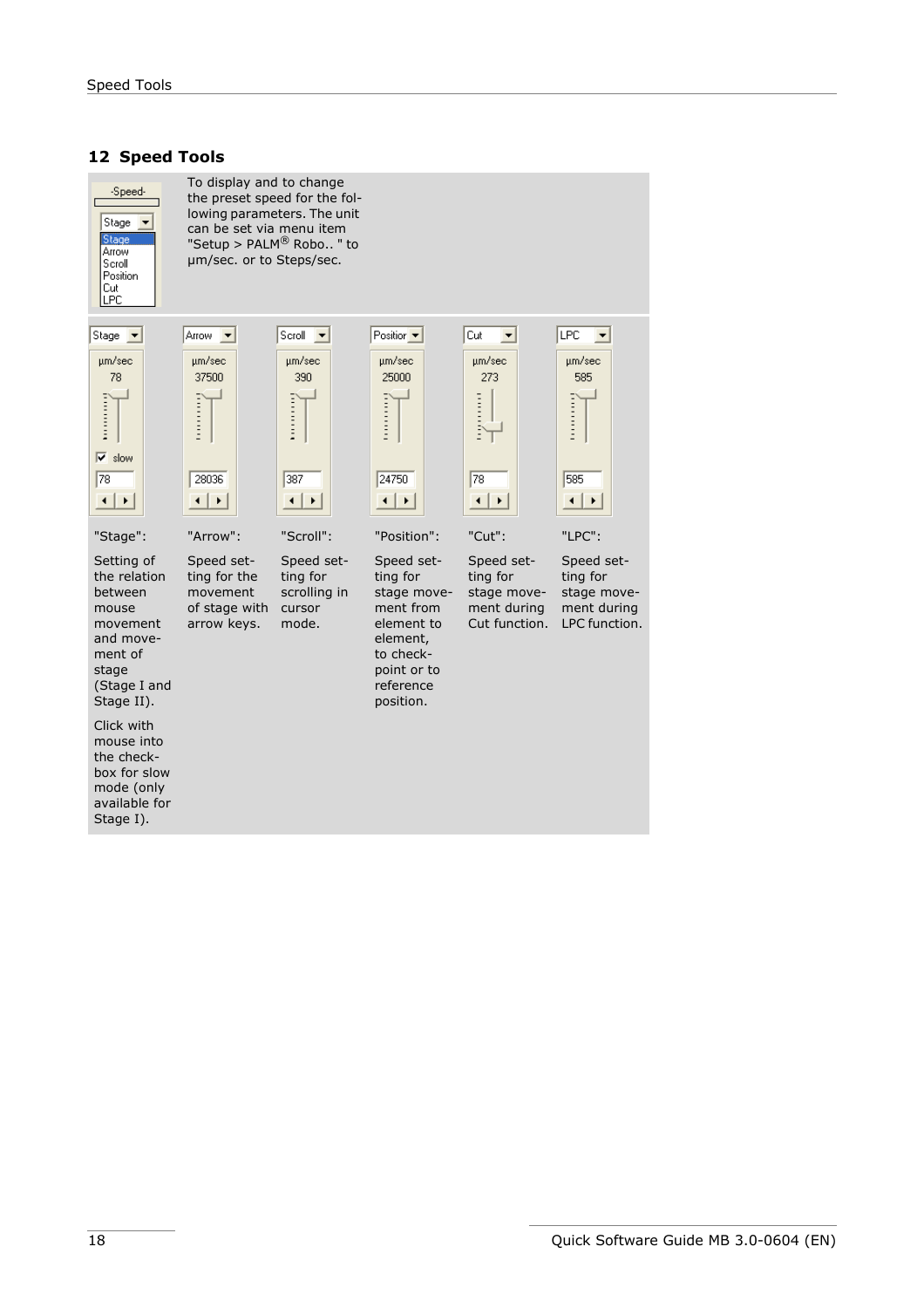## <span id="page-17-0"></span>**12 Speed Tools**



To display and to change the preset speed for the following parameters. The unit can be set via menu item "Setup > PALM® Robo.. " to µm/sec. or to Steps/sec.

 $S$ croll  $\overline{\phantom{a}}$ 

µm/sec

390

**Formation** 

387

 $\overline{|\cdot|}$ 



mouse

stage (Stage I and Stage II).

Click with mouse into the checkbox for slow mode (only available for Stage I).



"Arrow":

movement and movement of Speed setting for the movement of stage with arrow keys.



"Position":

reference position.

"Scroll": Speed setting for scrolling in cursor Speed setting for stage movement from element to element, to checkpoint or to

mode.



Speed setstage movement during Cut function. Speed setting for stage movement during LPC function.

ting for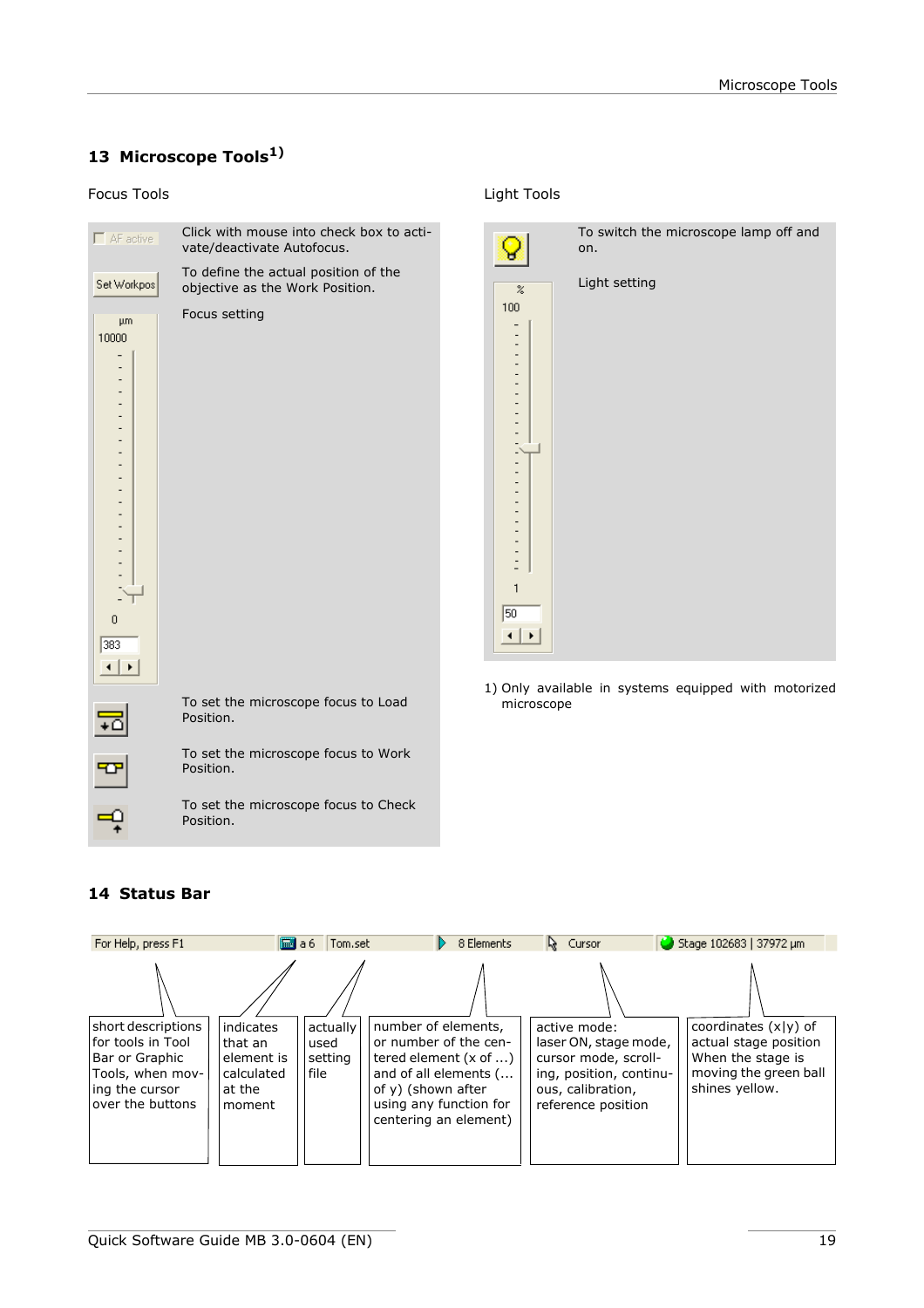# <span id="page-18-0"></span>**13 Microscope Tools1)**

#### Focus Tools Light Tools



|                                                         | To switch the microscope lamp off and<br>on. |
|---------------------------------------------------------|----------------------------------------------|
| $\%$<br>100<br>-<br>-<br>-<br>$\overline{a}$<br>1<br>50 | Light setting                                |

1) Only available in systems equipped with motorized microscope

# <span id="page-18-1"></span>**14 Status Bar**

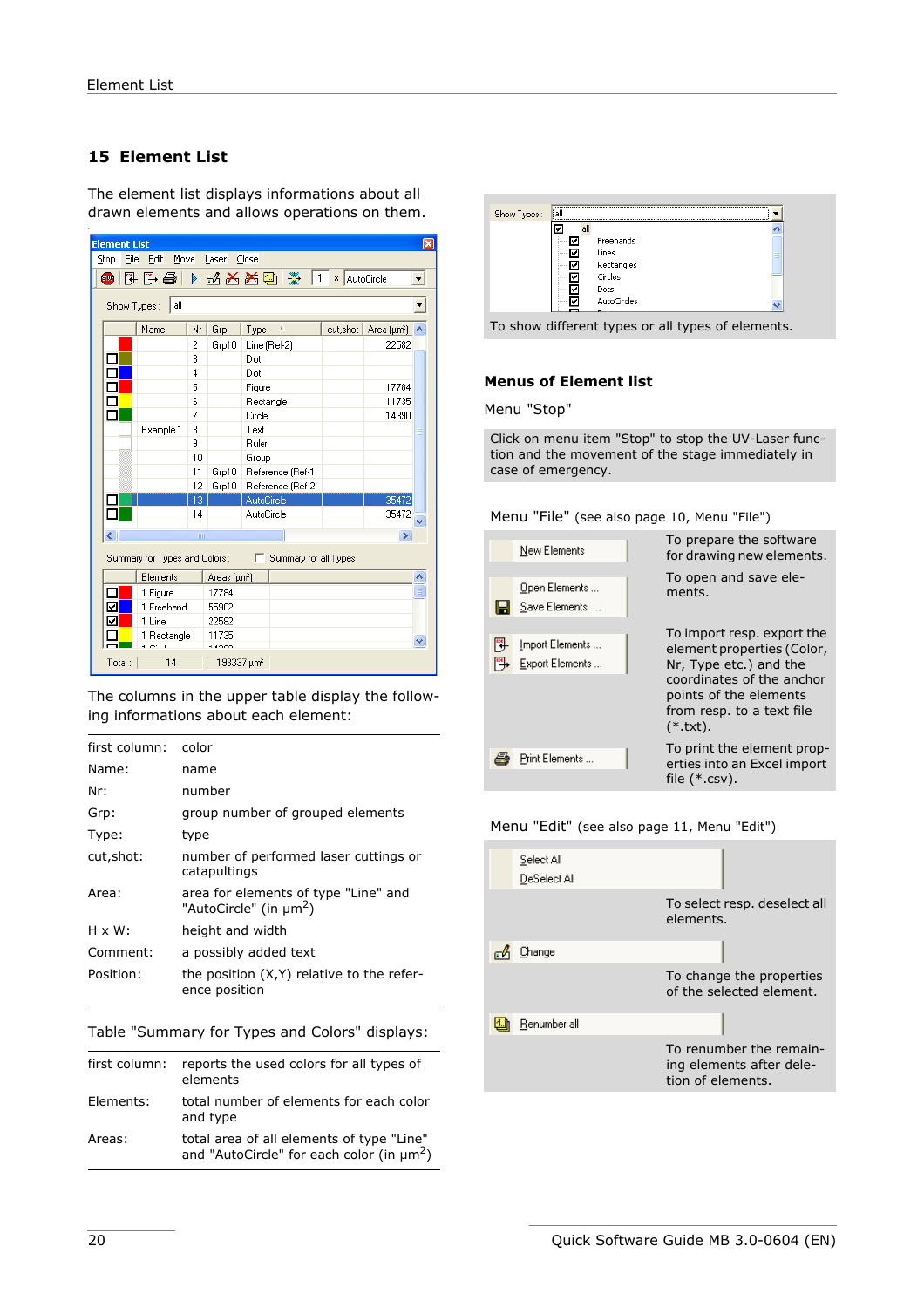# <span id="page-19-0"></span>**15 Element List**

The element list displays informations about all drawn elements and allows operations on them.

| <b>Element List</b><br>⊠                                    |             |          |                                |              |                   |  |         |            |  |
|-------------------------------------------------------------|-------------|----------|--------------------------------|--------------|-------------------|--|---------|------------|--|
| Stop<br>File<br>Close<br>Edit<br>Move<br>Laser              |             |          |                                |              |                   |  |         |            |  |
| 5 5 5 6 6 6 6 6 7 6<br>× AutoCircle<br>1<br>\$199           |             |          |                                |              |                   |  |         |            |  |
| all<br>Show Types:                                          |             |          |                                |              |                   |  |         |            |  |
|                                                             | Name        | Nr       | Grp                            | Type         | £                 |  | cutshot | Area (µm2) |  |
|                                                             |             | 2        | Grp10                          | Line (Ref-2) |                   |  |         | 22582      |  |
|                                                             |             | 3        |                                | Dot          |                   |  |         |            |  |
|                                                             |             | 4        |                                | Dot          |                   |  |         |            |  |
|                                                             |             | 5        |                                | Figure       |                   |  |         | 17784      |  |
|                                                             |             | 6        |                                | Rectangle    |                   |  |         | 11735      |  |
|                                                             |             | 7        |                                | Circle       |                   |  |         | 14390      |  |
|                                                             | Example 1   | 8        |                                | Text         |                   |  |         |            |  |
|                                                             |             | 9        |                                | Ruler        |                   |  |         |            |  |
|                                                             |             | 10       |                                | Group        |                   |  |         |            |  |
|                                                             |             | 11       | Grp10                          |              | Reference (Ref-1) |  |         |            |  |
|                                                             |             | 12<br>13 | Grp10                          | AutoCircle   | Reference (Ref-2) |  |         | 35472      |  |
|                                                             |             | 14       |                                | AutoCircle   |                   |  |         | 35472      |  |
|                                                             |             |          |                                |              |                   |  |         |            |  |
| ₹                                                           |             | m        |                                |              |                   |  |         | ٠          |  |
| Summary for Types and Colors:<br>Summary for all Types<br>г |             |          |                                |              |                   |  |         |            |  |
|                                                             | Elements    |          | Areas (um <sup>2</sup> )       |              |                   |  |         |            |  |
|                                                             | 1 Figure    |          | 17784                          |              |                   |  |         |            |  |
| V                                                           | 1 Freehand  |          | 55902                          |              |                   |  |         |            |  |
| ✓                                                           | 1 Line      |          | 22582                          |              |                   |  |         |            |  |
|                                                             | 1 Rectangle |          | 11735                          |              |                   |  |         |            |  |
| Total:                                                      | 14          |          | 1000<br>193337 um <sup>2</sup> |              |                   |  |         |            |  |

The columns in the upper table display the following informations about each element:

| first column:  | color                                                                      |
|----------------|----------------------------------------------------------------------------|
| Name:          | name                                                                       |
| Nr:            | number                                                                     |
| Grp:           | group number of grouped elements                                           |
| Type:          | type                                                                       |
| cut, shot:     | number of performed laser cuttings or<br>catapultings                      |
| Area:          | area for elements of type "Line" and<br>"AutoCircle" (in µm <sup>2</sup> ) |
| $H \times W$ : | height and width                                                           |
| Comment:       | a possibly added text                                                      |
| Position:      | the position (X,Y) relative to the refer-<br>ence position                 |

Table "Summary for Types and Colors" displays:

| first column: | reports the used colors for all types of<br>elements                                                    |
|---------------|---------------------------------------------------------------------------------------------------------|
| Elements:     | total number of elements for each color<br>and type                                                     |
| Areas:        | total area of all elements of type "Line"<br>and "AutoCircle" for each color (in $\mu$ m <sup>2</sup> ) |

|        | Freehands   |  |
|--------|-------------|--|
|        | Lines       |  |
|        | Rectangles  |  |
|        | Circles     |  |
| 1.1111 | Dots        |  |
|        | AutoCircles |  |

#### **Menus of Element list**

Menu "Stop"

Click on menu item "Stop" to stop the UV-Laser function and the movement of the stage immediately in case of emergency.

Menu "File" (see also [page 10,](#page-9-1) Menu "File")

| New Elements                       | To prepare the software<br>for drawing new elements.                                                                                                                                 |
|------------------------------------|--------------------------------------------------------------------------------------------------------------------------------------------------------------------------------------|
| Open Elements<br>Save Elements     | To open and save ele-<br>ments.                                                                                                                                                      |
| Import Elements<br>Export Elements | To import resp. export the<br>element properties (Color,<br>Nr, Type etc.) and the<br>coordinates of the anchor<br>points of the elements<br>from resp. to a text file<br>$(*.txt).$ |
| Print Elements                     | To print the element prop-<br>erties into an Excel import<br>file $(*.csv)$ .                                                                                                        |

Menu "Edit" (see also [page 11](#page-10-0), Menu "Edit")

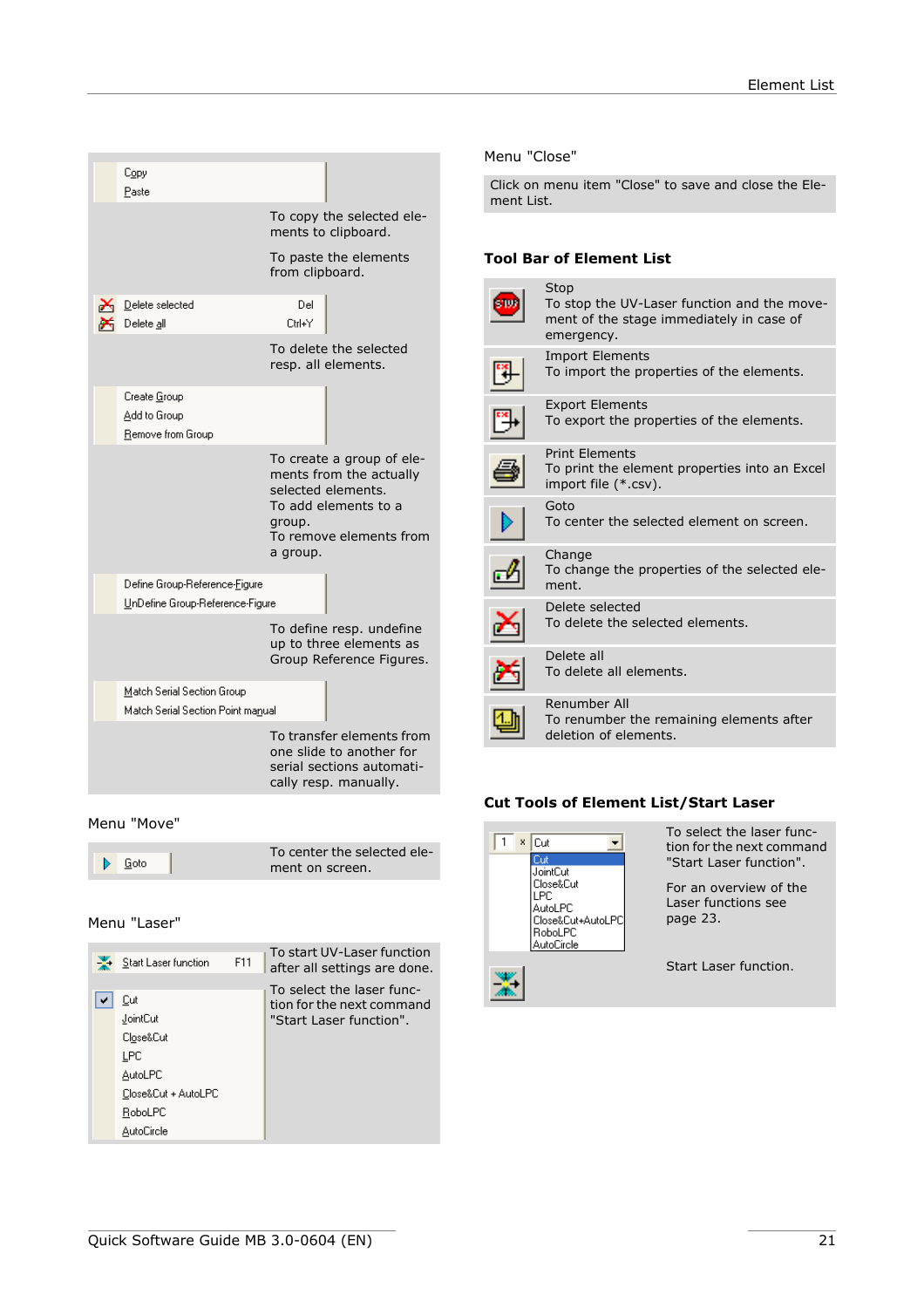| Copy<br>Paste                                                    |                    |                                                                                                                               |
|------------------------------------------------------------------|--------------------|-------------------------------------------------------------------------------------------------------------------------------|
|                                                                  |                    | To copy the selected ele-<br>ments to clipboard.                                                                              |
|                                                                  | from clipboard.    | To paste the elements                                                                                                         |
| Delete selected<br>Delete all                                    | Del<br>Ctrl+Y      |                                                                                                                               |
|                                                                  |                    | To delete the selected<br>resp. all elements.                                                                                 |
| Create Group<br>Add to Group<br>Remove from Group                |                    |                                                                                                                               |
|                                                                  | group.<br>a group. | To create a group of ele-<br>ments from the actually<br>selected elements.<br>To add elements to a<br>To remove elements from |
| Define Group-Reference-Figure<br>UnDefine Group-Reference-Figure |                    |                                                                                                                               |
|                                                                  |                    | To define resp. undefine<br>up to three elements as<br>Group Reference Figures.                                               |
| Match Serial Section Group<br>Match Serial Section Point manual  |                    |                                                                                                                               |
|                                                                  |                    | To transfer elements from<br>one slide to another for<br>serial sections automati-                                            |

#### Menu "Move"

|        | To center the selected ele- |
|--------|-----------------------------|
| B Goto | ment on screen.             |

cally resp. manually.

#### Menu "Laser"

| Start Laser function                                                                           | F11 | To start UV-Laser function<br>after all settings are done.                        |
|------------------------------------------------------------------------------------------------|-----|-----------------------------------------------------------------------------------|
| Cut<br>JointCut<br>Close&Cut<br>LPC<br>AutoLPC<br>Close&Cut + AutoLPC<br>RoboLPC<br>AutoCircle |     | To select the laser func-<br>tion for the next command<br>"Start Laser function". |

#### Menu "Close"

Click on menu item "Close" to save and close the Element List.

#### **Tool Bar of Element List**

| Stop<br>To stop the UV-Laser function and the move-<br>ment of the stage immediately in case of<br>emergency. |
|---------------------------------------------------------------------------------------------------------------|
| <b>Import Elements</b><br>To import the properties of the elements.                                           |
| <b>Export Elements</b><br>To export the properties of the elements.                                           |
| <b>Print Elements</b><br>To print the element properties into an Excel<br>import file (*.csv).                |
| Goto<br>To center the selected element on screen.                                                             |
| Change<br>To change the properties of the selected ele-<br>ment.                                              |
| Delete selected<br>To delete the selected elements.                                                           |
| Delete all<br>To delete all elements.                                                                         |
| Renumber All<br>To renumber the remaining elements after<br>deletion of elements.                             |

# **Cut Tools of Element List/Start Laser**

| Cut<br>x<br>JointCut                                           | To select the laser func-<br>tion for the next command<br>"Start Laser function". |
|----------------------------------------------------------------|-----------------------------------------------------------------------------------|
| Dlose&Cut<br>AutoLPC<br>Close&Cut+AutoLPC<br>RoboLPC<br>Circle | For an overview of the<br>Laser functions see<br>page 23.                         |
|                                                                | Start Laser function.                                                             |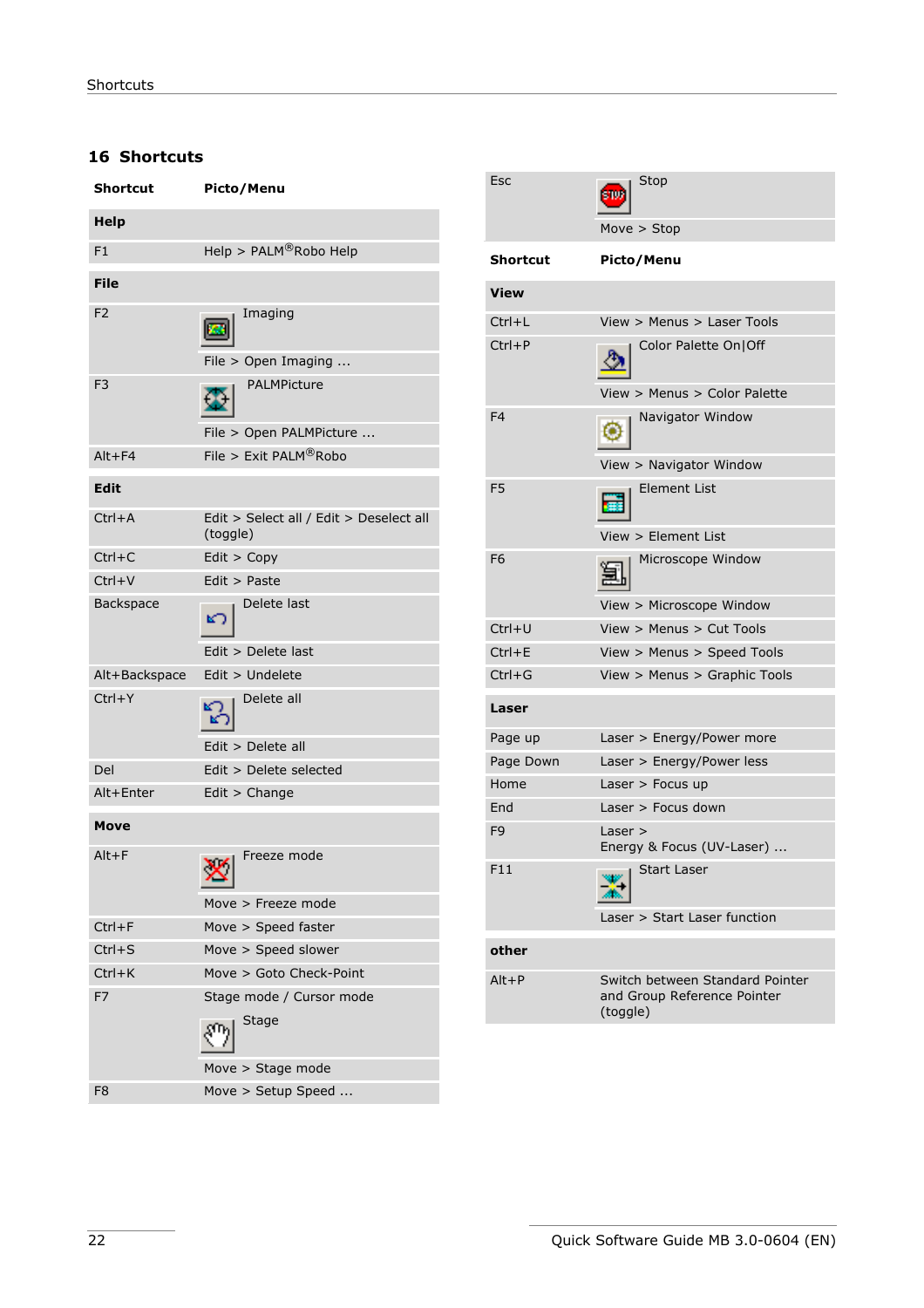# <span id="page-21-0"></span>**16 Shortcuts**

| <b>Shortcut</b> | Picto/Menu                                          |
|-----------------|-----------------------------------------------------|
| <b>Help</b>     |                                                     |
| F1              | Help > PALM®Robo Help                               |
| <b>File</b>     |                                                     |
| F <sub>2</sub>  | Imaging<br>File > Open Imaging                      |
| F <sub>3</sub>  | PALMPicture<br>File > Open PALMPicture              |
| $Alt + F4$      | File > Exit PALM®Robo                               |
| <b>Edit</b>     |                                                     |
| $Ctrl+A$        | Edit > Select all / Edit > Deselect all<br>(toggle) |
| $Ctrl + C$      | Edit > Copy                                         |
| $Ctrl + V$      | Edit > Paste                                        |
| Backspace       | Delete last                                         |
|                 | Edit > Delete last                                  |
| Alt+Backspace   | Edit > Undelete                                     |
| $Ctrl+Y$        | Delete all                                          |
|                 | Edit > Delete all                                   |
| Del             | Edit > Delete selected                              |
| Alt+Enter       | Edit > Change                                       |
| Move            |                                                     |
| $Alt + F$       | Freeze mode<br>$\checkmark$                         |
|                 | Move > Freeze mode                                  |
| $Ctrl + F$      | Move > Speed faster                                 |
| $Ctrl + S$      | Move > Speed slower                                 |
| $Ctrl+K$        | Move > Goto Check-Point                             |
| F7              | Stage mode / Cursor mode<br>Stage                   |
|                 | Move > Stage mode                                   |
| F8              | Move > Setup Speed                                  |

| Esc             | Stop                                                                       |
|-----------------|----------------------------------------------------------------------------|
|                 | Move $>$ Stop                                                              |
| <b>Shortcut</b> | Picto/Menu                                                                 |
| View            |                                                                            |
| $Ctrl+L$        | View > Menus > Laser Tools                                                 |
| $Ctrl + P$      | Color Palette On Off                                                       |
|                 | View > Menus > Color Palette                                               |
| F4              | Navigator Window                                                           |
|                 | View > Navigator Window                                                    |
| F <sub>5</sub>  | <b>Element List</b>                                                        |
|                 | View > Element List                                                        |
| F6              | Microscope Window                                                          |
|                 | View > Microscope Window                                                   |
| $Ctrl+U$        | View > Menus > Cut Tools                                                   |
| $Ctrl + E$      | View > Menus > Speed Tools                                                 |
| $Ctrl + G$      | View > Menus > Graphic Tools                                               |
| Laser           |                                                                            |
| Page up         | Laser > Energy/Power more                                                  |
| Page Down       | Laser > Energy/Power less                                                  |
| Home            | Laser $>$ Focus up                                                         |
| End             | Laser $>$ Focus down                                                       |
| F <sub>9</sub>  | Laser ><br>Energy & Focus (UV-Laser)                                       |
| F11             | <b>Start Laser</b>                                                         |
|                 | Laser > Start Laser function                                               |
| other           |                                                                            |
| $Alt + P$       | Switch between Standard Pointer<br>and Group Reference Pointer<br>(toggle) |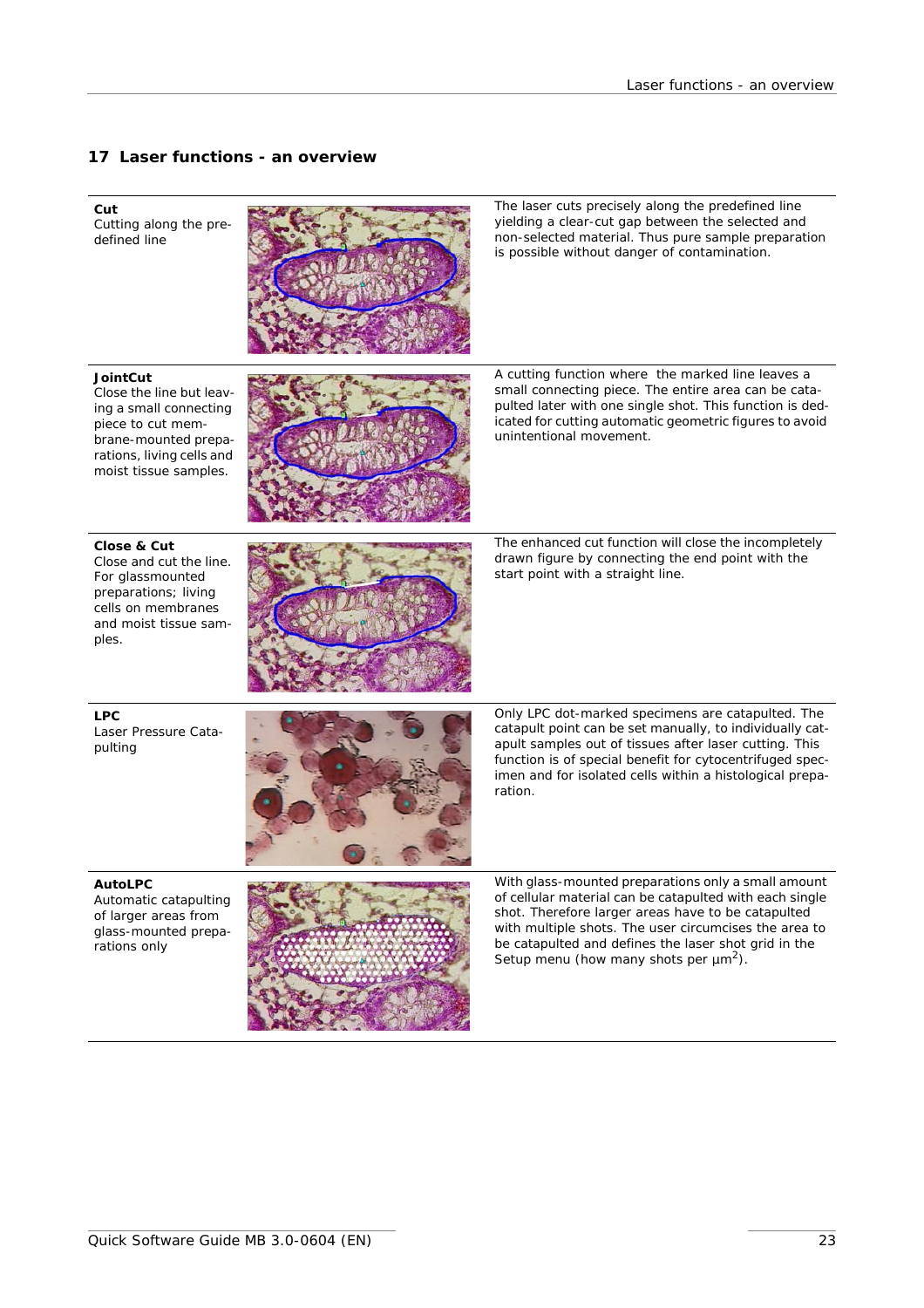#### **17 Laser functions - an overview**